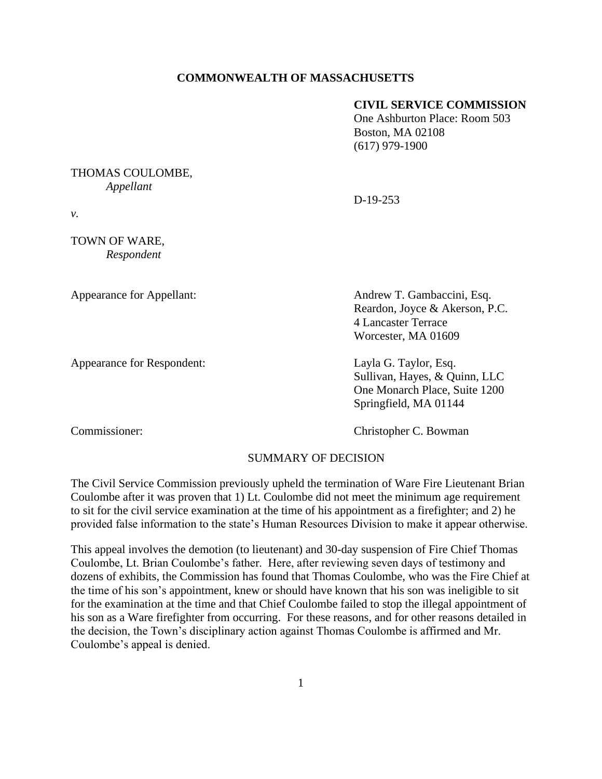# **COMMONWEALTH OF MASSACHUSETTS**

### **CIVIL SERVICE COMMISSION**

One Ashburton Place: Room 503 Boston, MA 02108 (617) 979-1900

# THOMAS COULOMBE, *Appellant*

D-19-253

*v.* 

TOWN OF WARE, *Respondent*

Appearance for Respondent: Layla G. Taylor, Esq.

Appearance for Appellant: Andrew T. Gambaccini, Esq. Reardon, Joyce & Akerson, P.C. 4 Lancaster Terrace Worcester, MA 01609

> Sullivan, Hayes, & Quinn, LLC One Monarch Place, Suite 1200 Springfield, MA 01144

Commissioner: Christopher C. Bowman

### SUMMARY OF DECISION

The Civil Service Commission previously upheld the termination of Ware Fire Lieutenant Brian Coulombe after it was proven that 1) Lt. Coulombe did not meet the minimum age requirement to sit for the civil service examination at the time of his appointment as a firefighter; and 2) he provided false information to the state's Human Resources Division to make it appear otherwise.

This appeal involves the demotion (to lieutenant) and 30-day suspension of Fire Chief Thomas Coulombe, Lt. Brian Coulombe's father. Here, after reviewing seven days of testimony and dozens of exhibits, the Commission has found that Thomas Coulombe, who was the Fire Chief at the time of his son's appointment, knew or should have known that his son was ineligible to sit for the examination at the time and that Chief Coulombe failed to stop the illegal appointment of his son as a Ware firefighter from occurring. For these reasons, and for other reasons detailed in the decision, the Town's disciplinary action against Thomas Coulombe is affirmed and Mr. Coulombe's appeal is denied.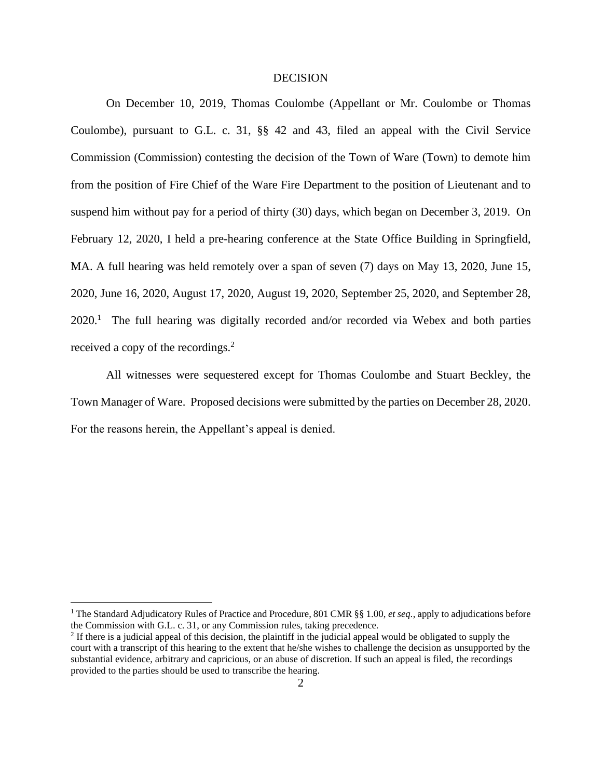#### **DECISION**

On December 10, 2019, Thomas Coulombe (Appellant or Mr. Coulombe or Thomas Coulombe), pursuant to G.L. c. 31, §§ 42 and 43, filed an appeal with the Civil Service Commission (Commission) contesting the decision of the Town of Ware (Town) to demote him from the position of Fire Chief of the Ware Fire Department to the position of Lieutenant and to suspend him without pay for a period of thirty (30) days, which began on December 3, 2019. On February 12, 2020, I held a pre-hearing conference at the State Office Building in Springfield, MA. A full hearing was held remotely over a span of seven (7) days on May 13, 2020, June 15, 2020, June 16, 2020, August 17, 2020, August 19, 2020, September 25, 2020, and September 28, 2020.<sup>1</sup> The full hearing was digitally recorded and/or recorded via Webex and both parties received a copy of the recordings. 2

All witnesses were sequestered except for Thomas Coulombe and Stuart Beckley, the Town Manager of Ware. Proposed decisions were submitted by the parties on December 28, 2020. For the reasons herein, the Appellant's appeal is denied.

<sup>1</sup> The Standard Adjudicatory Rules of Practice and Procedure, 801 CMR §§ 1.00, *et seq.*, apply to adjudications before the Commission with G.L. c. 31, or any Commission rules, taking precedence.

<sup>&</sup>lt;sup>2</sup> If there is a judicial appeal of this decision, the plaintiff in the judicial appeal would be obligated to supply the court with a transcript of this hearing to the extent that he/she wishes to challenge the decision as unsupported by the substantial evidence, arbitrary and capricious, or an abuse of discretion. If such an appeal is filed, the recordings provided to the parties should be used to transcribe the hearing.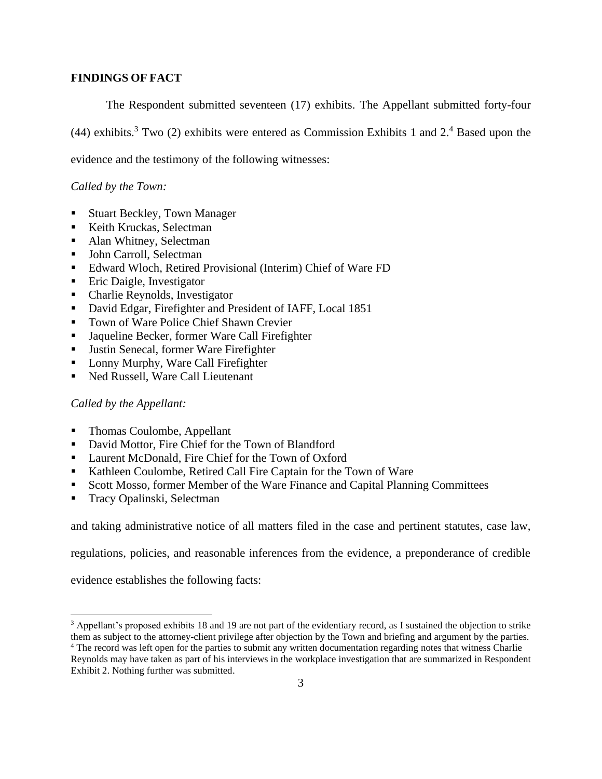# **FINDINGS OF FACT**

The Respondent submitted seventeen (17) exhibits. The Appellant submitted forty-four

(44) exhibits.<sup>3</sup> Two (2) exhibits were entered as Commission Exhibits 1 and  $2.4$  Based upon the

evidence and the testimony of the following witnesses:

### *Called by the Town:*

- Stuart Beckley, Town Manager
- Keith Kruckas, Selectman
- Alan Whitney, Selectman
- John Carroll, Selectman
- Edward Wloch, Retired Provisional (Interim) Chief of Ware FD
- Eric Daigle, Investigator
- Charlie Reynolds, Investigator
- David Edgar, Firefighter and President of IAFF, Local 1851
- Town of Ware Police Chief Shawn Crevier
- Jaqueline Becker, former Ware Call Firefighter
- Justin Senecal, former Ware Firefighter
- Lonny Murphy, Ware Call Firefighter
- Ned Russell, Ware Call Lieutenant

#### *Called by the Appellant:*

- Thomas Coulombe, Appellant
- David Mottor, Fire Chief for the Town of Blandford
- Laurent McDonald, Fire Chief for the Town of Oxford
- Kathleen Coulombe, Retired Call Fire Captain for the Town of Ware
- Scott Mosso, former Member of the Ware Finance and Capital Planning Committees
- Tracy Opalinski, Selectman

and taking administrative notice of all matters filed in the case and pertinent statutes, case law,

regulations, policies, and reasonable inferences from the evidence, a preponderance of credible

evidence establishes the following facts:

<sup>3</sup> Appellant's proposed exhibits 18 and 19 are not part of the evidentiary record, as I sustained the objection to strike them as subject to the attorney-client privilege after objection by the Town and briefing and argument by the parties. <sup>4</sup> The record was left open for the parties to submit any written documentation regarding notes that witness Charlie Reynolds may have taken as part of his interviews in the workplace investigation that are summarized in Respondent Exhibit 2. Nothing further was submitted.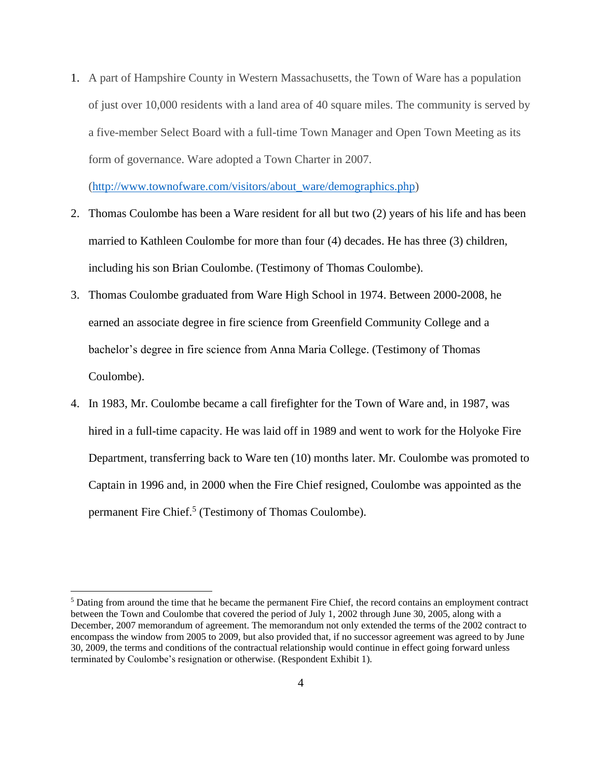1. A part of Hampshire County in Western Massachusetts, the Town of Ware has a population of just over 10,000 residents with a land area of 40 square miles. The community is served by a five-member Select Board with a full-time Town Manager and Open Town Meeting as its form of governance. Ware adopted a Town Charter in 2007.

[\(http://www.townofware.com/visitors/about\\_ware/demographics.php\)](http://www.townofware.com/visitors/about_ware/demographics.php)

- 2. Thomas Coulombe has been a Ware resident for all but two (2) years of his life and has been married to Kathleen Coulombe for more than four (4) decades. He has three (3) children, including his son Brian Coulombe. (Testimony of Thomas Coulombe).
- 3. Thomas Coulombe graduated from Ware High School in 1974. Between 2000-2008, he earned an associate degree in fire science from Greenfield Community College and a bachelor's degree in fire science from Anna Maria College. (Testimony of Thomas Coulombe).
- 4. In 1983, Mr. Coulombe became a call firefighter for the Town of Ware and, in 1987, was hired in a full-time capacity. He was laid off in 1989 and went to work for the Holyoke Fire Department, transferring back to Ware ten (10) months later. Mr. Coulombe was promoted to Captain in 1996 and, in 2000 when the Fire Chief resigned, Coulombe was appointed as the permanent Fire Chief.<sup>5</sup> (Testimony of Thomas Coulombe).

<sup>&</sup>lt;sup>5</sup> Dating from around the time that he became the permanent Fire Chief, the record contains an employment contract between the Town and Coulombe that covered the period of July 1, 2002 through June 30, 2005, along with a December, 2007 memorandum of agreement. The memorandum not only extended the terms of the 2002 contract to encompass the window from 2005 to 2009, but also provided that, if no successor agreement was agreed to by June 30, 2009, the terms and conditions of the contractual relationship would continue in effect going forward unless terminated by Coulombe's resignation or otherwise. (Respondent Exhibit 1).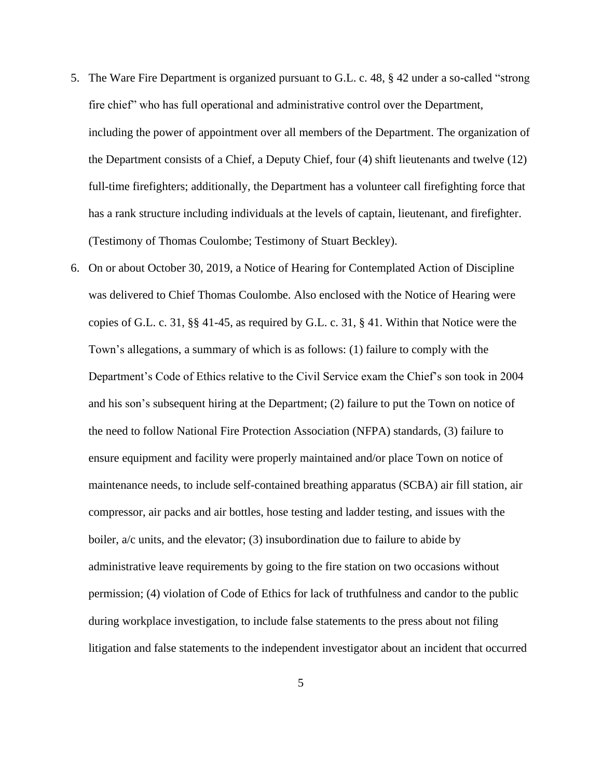- 5. The Ware Fire Department is organized pursuant to G.L. c. 48, § 42 under a so-called "strong fire chief" who has full operational and administrative control over the Department, including the power of appointment over all members of the Department. The organization of the Department consists of a Chief, a Deputy Chief, four (4) shift lieutenants and twelve (12) full-time firefighters; additionally, the Department has a volunteer call firefighting force that has a rank structure including individuals at the levels of captain, lieutenant, and firefighter. (Testimony of Thomas Coulombe; Testimony of Stuart Beckley).
- 6. On or about October 30, 2019, a Notice of Hearing for Contemplated Action of Discipline was delivered to Chief Thomas Coulombe. Also enclosed with the Notice of Hearing were copies of G.L. c. 31, §§ 41-45, as required by G.L. c. 31, § 41. Within that Notice were the Town's allegations, a summary of which is as follows: (1) failure to comply with the Department's Code of Ethics relative to the Civil Service exam the Chief's son took in 2004 and his son's subsequent hiring at the Department; (2) failure to put the Town on notice of the need to follow National Fire Protection Association (NFPA) standards, (3) failure to ensure equipment and facility were properly maintained and/or place Town on notice of maintenance needs, to include self-contained breathing apparatus (SCBA) air fill station, air compressor, air packs and air bottles, hose testing and ladder testing, and issues with the boiler, a/c units, and the elevator; (3) insubordination due to failure to abide by administrative leave requirements by going to the fire station on two occasions without permission; (4) violation of Code of Ethics for lack of truthfulness and candor to the public during workplace investigation, to include false statements to the press about not filing litigation and false statements to the independent investigator about an incident that occurred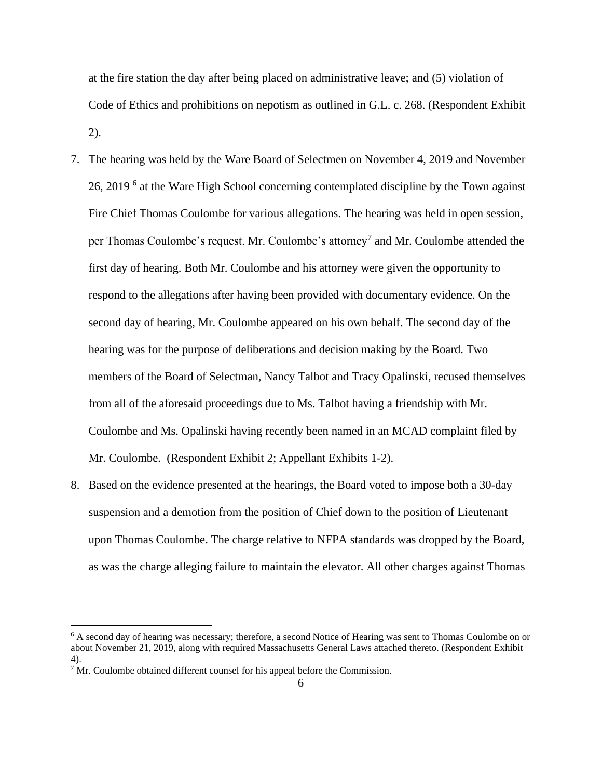at the fire station the day after being placed on administrative leave; and (5) violation of Code of Ethics and prohibitions on nepotism as outlined in G.L. c. 268. (Respondent Exhibit 2).

- 7. The hearing was held by the Ware Board of Selectmen on November 4, 2019 and November 26, 2019<sup>6</sup> at the Ware High School concerning contemplated discipline by the Town against Fire Chief Thomas Coulombe for various allegations. The hearing was held in open session, per Thomas Coulombe's request. Mr. Coulombe's attorney<sup>7</sup> and Mr. Coulombe attended the first day of hearing. Both Mr. Coulombe and his attorney were given the opportunity to respond to the allegations after having been provided with documentary evidence. On the second day of hearing, Mr. Coulombe appeared on his own behalf. The second day of the hearing was for the purpose of deliberations and decision making by the Board. Two members of the Board of Selectman, Nancy Talbot and Tracy Opalinski, recused themselves from all of the aforesaid proceedings due to Ms. Talbot having a friendship with Mr. Coulombe and Ms. Opalinski having recently been named in an MCAD complaint filed by Mr. Coulombe. (Respondent Exhibit 2; Appellant Exhibits 1-2).
- 8. Based on the evidence presented at the hearings, the Board voted to impose both a 30-day suspension and a demotion from the position of Chief down to the position of Lieutenant upon Thomas Coulombe. The charge relative to NFPA standards was dropped by the Board, as was the charge alleging failure to maintain the elevator. All other charges against Thomas

<sup>&</sup>lt;sup>6</sup> A second day of hearing was necessary; therefore, a second Notice of Hearing was sent to Thomas Coulombe on or about November 21, 2019, along with required Massachusetts General Laws attached thereto. (Respondent Exhibit 4).

 $<sup>7</sup>$  Mr. Coulombe obtained different counsel for his appeal before the Commission.</sup>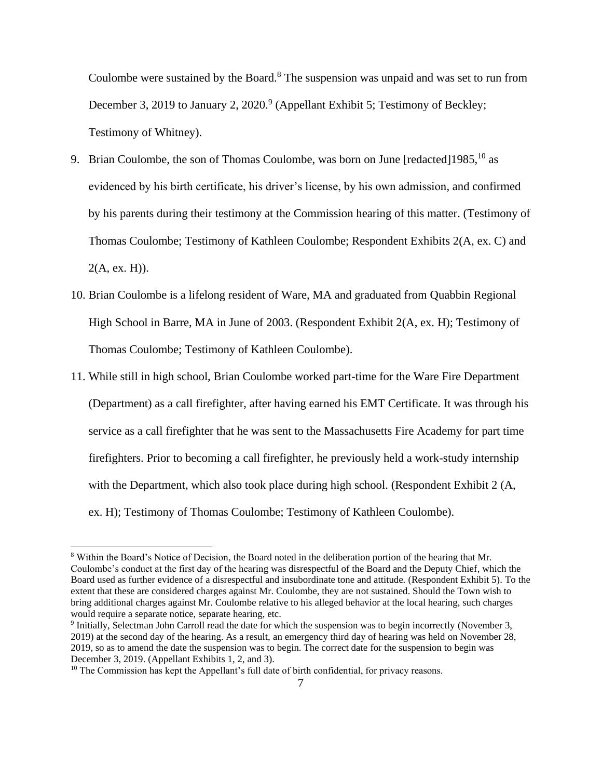Coulombe were sustained by the Board.<sup>8</sup> The suspension was unpaid and was set to run from December 3, 2019 to January 2, 2020.<sup>9</sup> (Appellant Exhibit 5; Testimony of Beckley; Testimony of Whitney).

- 9. Brian Coulombe, the son of Thomas Coulombe, was born on June [redacted]1985,  $^{10}$  as evidenced by his birth certificate, his driver's license, by his own admission, and confirmed by his parents during their testimony at the Commission hearing of this matter. (Testimony of Thomas Coulombe; Testimony of Kathleen Coulombe; Respondent Exhibits 2(A, ex. C) and  $2(A, ex. H)$ ).
- 10. Brian Coulombe is a lifelong resident of Ware, MA and graduated from Quabbin Regional High School in Barre, MA in June of 2003. (Respondent Exhibit 2(A, ex. H); Testimony of Thomas Coulombe; Testimony of Kathleen Coulombe).
- 11. While still in high school, Brian Coulombe worked part-time for the Ware Fire Department (Department) as a call firefighter, after having earned his EMT Certificate. It was through his service as a call firefighter that he was sent to the Massachusetts Fire Academy for part time firefighters. Prior to becoming a call firefighter, he previously held a work-study internship with the Department, which also took place during high school. (Respondent Exhibit 2 (A, ex. H); Testimony of Thomas Coulombe; Testimony of Kathleen Coulombe).

<sup>8</sup> Within the Board's Notice of Decision, the Board noted in the deliberation portion of the hearing that Mr. Coulombe's conduct at the first day of the hearing was disrespectful of the Board and the Deputy Chief, which the Board used as further evidence of a disrespectful and insubordinate tone and attitude. (Respondent Exhibit 5). To the extent that these are considered charges against Mr. Coulombe, they are not sustained. Should the Town wish to bring additional charges against Mr. Coulombe relative to his alleged behavior at the local hearing, such charges would require a separate notice, separate hearing, etc.

<sup>&</sup>lt;sup>9</sup> Initially, Selectman John Carroll read the date for which the suspension was to begin incorrectly (November 3, 2019) at the second day of the hearing. As a result, an emergency third day of hearing was held on November 28, 2019, so as to amend the date the suspension was to begin. The correct date for the suspension to begin was December 3, 2019. (Appellant Exhibits 1, 2, and 3).

 $10$  The Commission has kept the Appellant's full date of birth confidential, for privacy reasons.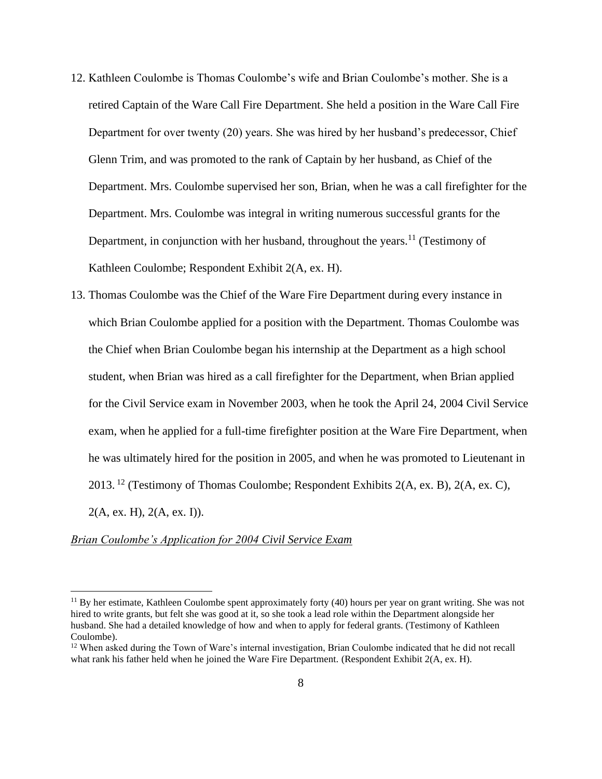- 12. Kathleen Coulombe is Thomas Coulombe's wife and Brian Coulombe's mother. She is a retired Captain of the Ware Call Fire Department. She held a position in the Ware Call Fire Department for over twenty (20) years. She was hired by her husband's predecessor, Chief Glenn Trim, and was promoted to the rank of Captain by her husband, as Chief of the Department. Mrs. Coulombe supervised her son, Brian, when he was a call firefighter for the Department. Mrs. Coulombe was integral in writing numerous successful grants for the Department, in conjunction with her husband, throughout the years.<sup>11</sup> (Testimony of Kathleen Coulombe; Respondent Exhibit 2(A, ex. H).
- 13. Thomas Coulombe was the Chief of the Ware Fire Department during every instance in which Brian Coulombe applied for a position with the Department. Thomas Coulombe was the Chief when Brian Coulombe began his internship at the Department as a high school student, when Brian was hired as a call firefighter for the Department, when Brian applied for the Civil Service exam in November 2003, when he took the April 24, 2004 Civil Service exam, when he applied for a full-time firefighter position at the Ware Fire Department, when he was ultimately hired for the position in 2005, and when he was promoted to Lieutenant in 2013. <sup>12</sup> (Testimony of Thomas Coulombe; Respondent Exhibits 2(A, ex. B), 2(A, ex. C),  $2(A, ex. H), 2(A, ex. I)).$

#### *Brian Coulombe's Application for 2004 Civil Service Exam*

 $11$  By her estimate, Kathleen Coulombe spent approximately forty (40) hours per year on grant writing. She was not hired to write grants, but felt she was good at it, so she took a lead role within the Department alongside her husband. She had a detailed knowledge of how and when to apply for federal grants. (Testimony of Kathleen Coulombe).

<sup>&</sup>lt;sup>12</sup> When asked during the Town of Ware's internal investigation, Brian Coulombe indicated that he did not recall what rank his father held when he joined the Ware Fire Department. (Respondent Exhibit 2(A, ex. H).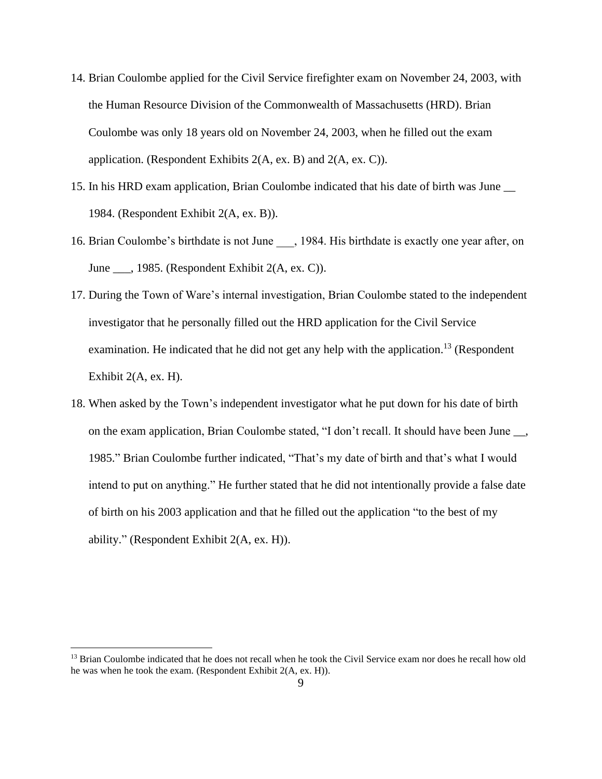- 14. Brian Coulombe applied for the Civil Service firefighter exam on November 24, 2003, with the Human Resource Division of the Commonwealth of Massachusetts (HRD). Brian Coulombe was only 18 years old on November 24, 2003, when he filled out the exam application. (Respondent Exhibits 2(A, ex. B) and 2(A, ex. C)).
- 15. In his HRD exam application, Brian Coulombe indicated that his date of birth was June \_\_ 1984. (Respondent Exhibit 2(A, ex. B)).
- 16. Brian Coulombe's birthdate is not June \_\_\_, 1984. His birthdate is exactly one year after, on June \_\_\_, 1985. (Respondent Exhibit 2(A, ex. C)).
- 17. During the Town of Ware's internal investigation, Brian Coulombe stated to the independent investigator that he personally filled out the HRD application for the Civil Service examination. He indicated that he did not get any help with the application.<sup>13</sup> (Respondent Exhibit 2(A, ex. H).
- 18. When asked by the Town's independent investigator what he put down for his date of birth on the exam application, Brian Coulombe stated, "I don't recall. It should have been June \_\_, 1985." Brian Coulombe further indicated, "That's my date of birth and that's what I would intend to put on anything." He further stated that he did not intentionally provide a false date of birth on his 2003 application and that he filled out the application "to the best of my ability." (Respondent Exhibit 2(A, ex. H)).

<sup>&</sup>lt;sup>13</sup> Brian Coulombe indicated that he does not recall when he took the Civil Service exam nor does he recall how old he was when he took the exam. (Respondent Exhibit 2(A, ex. H)).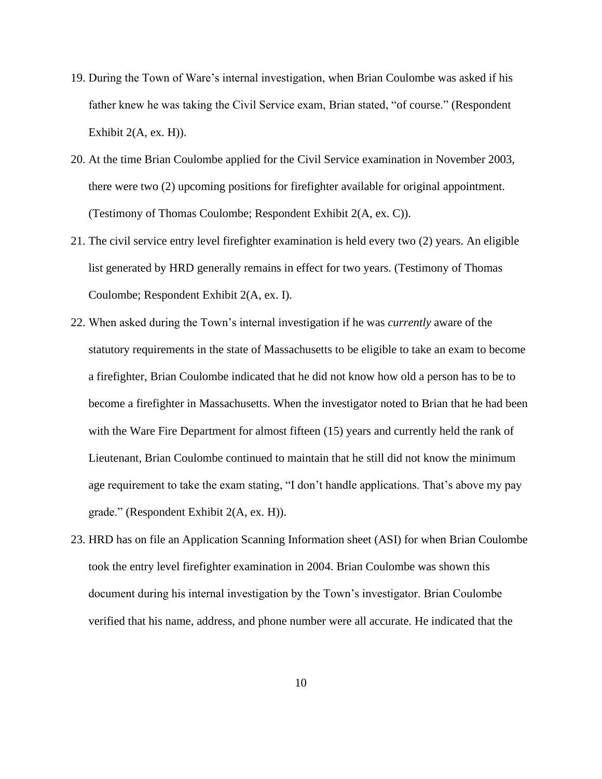- 19. During the Town of Ware's internal investigation, when Brian Coulombe was asked if his father knew he was taking the Civil Service exam, Brian stated, "of course." (Respondent Exhibit  $2(A, ex. H)$ ).
- 20. At the time Brian Coulombe applied for the Civil Service examination in November 2003, there were two (2) upcoming positions for firefighter available for original appointment. (Testimony of Thomas Coulombe; Respondent Exhibit 2(A, ex. C)).
- 21. The civil service entry level firefighter examination is held every two (2) years. An eligible list generated by HRD generally remains in effect for two years. (Testimony of Thomas Coulombe; Respondent Exhibit 2(A, ex. I).
- 22. When asked during the Town's internal investigation if he was *currently* aware of the statutory requirements in the state of Massachusetts to be eligible to take an exam to become a firefighter, Brian Coulombe indicated that he did not know how old a person has to be to become a firefighter in Massachusetts. When the investigator noted to Brian that he had been with the Ware Fire Department for almost fifteen (15) years and currently held the rank of Lieutenant, Brian Coulombe continued to maintain that he still did not know the minimum age requirement to take the exam stating, "I don't handle applications. That's above my pay grade." (Respondent Exhibit 2(A, ex. H)).
- 23. HRD has on file an Application Scanning Information sheet (ASI) for when Brian Coulombe took the entry level firefighter examination in 2004. Brian Coulombe was shown this document during his internal investigation by the Town's investigator. Brian Coulombe verified that his name, address, and phone number were all accurate. He indicated that the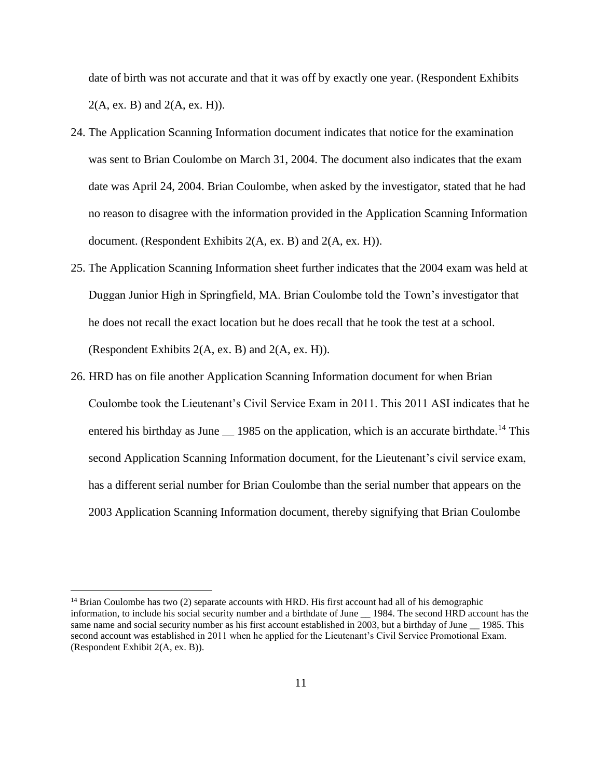date of birth was not accurate and that it was off by exactly one year. (Respondent Exhibits  $2(A, ex. B)$  and  $2(A, ex. H)$ ).

- 24. The Application Scanning Information document indicates that notice for the examination was sent to Brian Coulombe on March 31, 2004. The document also indicates that the exam date was April 24, 2004. Brian Coulombe, when asked by the investigator, stated that he had no reason to disagree with the information provided in the Application Scanning Information document. (Respondent Exhibits 2(A, ex. B) and 2(A, ex. H)).
- 25. The Application Scanning Information sheet further indicates that the 2004 exam was held at Duggan Junior High in Springfield, MA. Brian Coulombe told the Town's investigator that he does not recall the exact location but he does recall that he took the test at a school. (Respondent Exhibits 2(A, ex. B) and 2(A, ex. H)).
- 26. HRD has on file another Application Scanning Information document for when Brian Coulombe took the Lieutenant's Civil Service Exam in 2011. This 2011 ASI indicates that he entered his birthday as June  $\_\_$  1985 on the application, which is an accurate birthdate.<sup>14</sup> This second Application Scanning Information document, for the Lieutenant's civil service exam, has a different serial number for Brian Coulombe than the serial number that appears on the 2003 Application Scanning Information document, thereby signifying that Brian Coulombe

 $14$  Brian Coulombe has two (2) separate accounts with HRD. His first account had all of his demographic information, to include his social security number and a birthdate of June \_\_ 1984. The second HRD account has the same name and social security number as his first account established in 2003, but a birthday of June 1985. This second account was established in 2011 when he applied for the Lieutenant's Civil Service Promotional Exam. (Respondent Exhibit 2(A, ex. B)).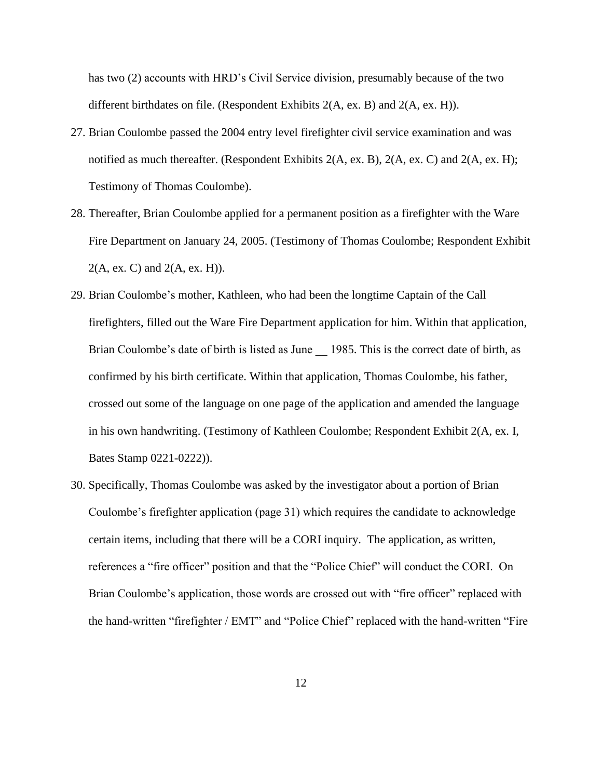has two (2) accounts with HRD's Civil Service division, presumably because of the two different birthdates on file. (Respondent Exhibits 2(A, ex. B) and 2(A, ex. H)).

- 27. Brian Coulombe passed the 2004 entry level firefighter civil service examination and was notified as much thereafter. (Respondent Exhibits 2(A, ex. B), 2(A, ex. C) and 2(A, ex. H); Testimony of Thomas Coulombe).
- 28. Thereafter, Brian Coulombe applied for a permanent position as a firefighter with the Ware Fire Department on January 24, 2005. (Testimony of Thomas Coulombe; Respondent Exhibit  $2(A, ex. C)$  and  $2(A, ex. H)$ ).
- 29. Brian Coulombe's mother, Kathleen, who had been the longtime Captain of the Call firefighters, filled out the Ware Fire Department application for him. Within that application, Brian Coulombe's date of birth is listed as June 1985. This is the correct date of birth, as confirmed by his birth certificate. Within that application, Thomas Coulombe, his father, crossed out some of the language on one page of the application and amended the language in his own handwriting. (Testimony of Kathleen Coulombe; Respondent Exhibit 2(A, ex. I, Bates Stamp 0221-0222)).
- 30. Specifically, Thomas Coulombe was asked by the investigator about a portion of Brian Coulombe's firefighter application (page 31) which requires the candidate to acknowledge certain items, including that there will be a CORI inquiry. The application, as written, references a "fire officer" position and that the "Police Chief" will conduct the CORI. On Brian Coulombe's application, those words are crossed out with "fire officer" replaced with the hand-written "firefighter / EMT" and "Police Chief" replaced with the hand-written "Fire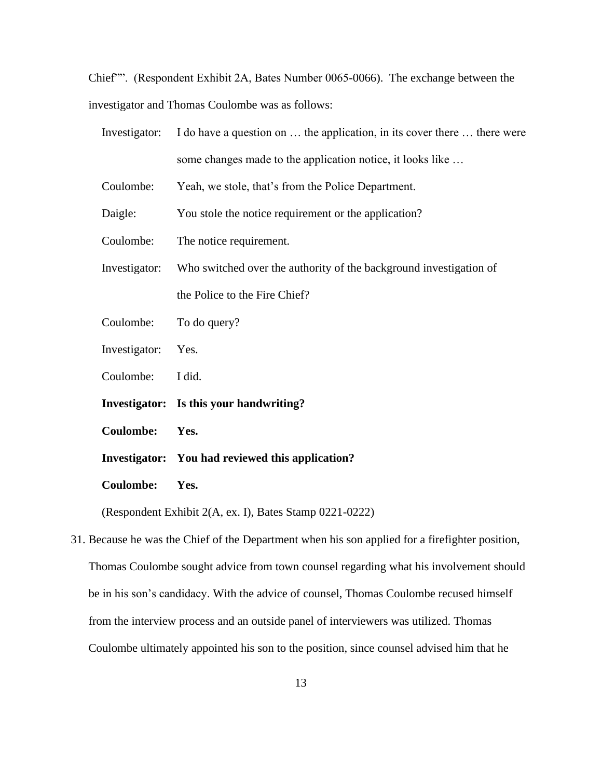Chief"". (Respondent Exhibit 2A, Bates Number 0065-0066). The exchange between the investigator and Thomas Coulombe was as follows:

| Investigator:    | I do have a question on  the application, in its cover there  there were |
|------------------|--------------------------------------------------------------------------|
|                  | some changes made to the application notice, it looks like               |
| Coulombe:        | Yeah, we stole, that's from the Police Department.                       |
| Daigle:          | You stole the notice requirement or the application?                     |
| Coulombe:        | The notice requirement.                                                  |
| Investigator:    | Who switched over the authority of the background investigation of       |
|                  | the Police to the Fire Chief?                                            |
| Coulombe:        | To do query?                                                             |
| Investigator:    | Yes.                                                                     |
| Coulombe:        | I did.                                                                   |
|                  | Investigator: Is this your handwriting?                                  |
| <b>Coulombe:</b> | Yes.                                                                     |
|                  | Investigator: You had reviewed this application?                         |
| <b>Coulombe:</b> | Yes.                                                                     |

(Respondent Exhibit 2(A, ex. I), Bates Stamp 0221-0222)

31. Because he was the Chief of the Department when his son applied for a firefighter position, Thomas Coulombe sought advice from town counsel regarding what his involvement should be in his son's candidacy. With the advice of counsel, Thomas Coulombe recused himself from the interview process and an outside panel of interviewers was utilized. Thomas Coulombe ultimately appointed his son to the position, since counsel advised him that he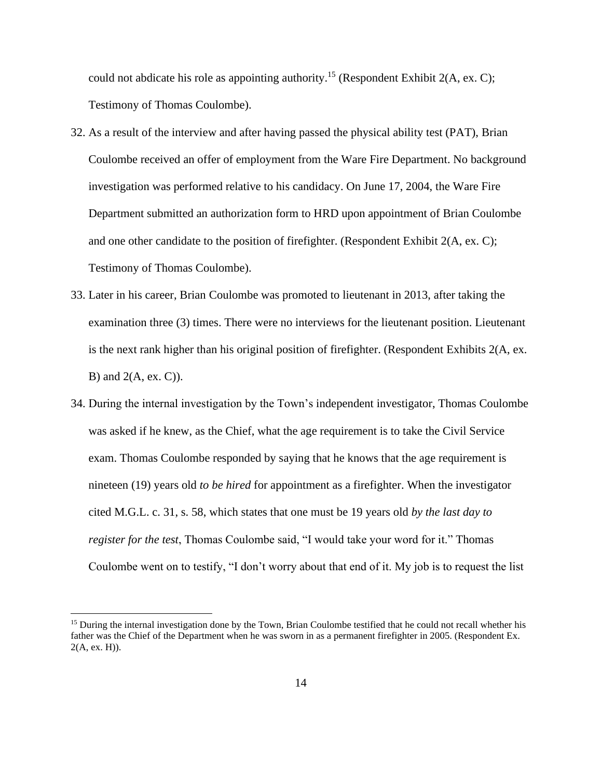could not abdicate his role as appointing authority.<sup>15</sup> (Respondent Exhibit 2(A, ex. C); Testimony of Thomas Coulombe).

- 32. As a result of the interview and after having passed the physical ability test (PAT), Brian Coulombe received an offer of employment from the Ware Fire Department. No background investigation was performed relative to his candidacy. On June 17, 2004, the Ware Fire Department submitted an authorization form to HRD upon appointment of Brian Coulombe and one other candidate to the position of firefighter. (Respondent Exhibit 2(A, ex. C); Testimony of Thomas Coulombe).
- 33. Later in his career, Brian Coulombe was promoted to lieutenant in 2013, after taking the examination three (3) times. There were no interviews for the lieutenant position. Lieutenant is the next rank higher than his original position of firefighter. (Respondent Exhibits 2(A, ex. B) and  $2(A, ex. C)$ ).
- 34. During the internal investigation by the Town's independent investigator, Thomas Coulombe was asked if he knew, as the Chief, what the age requirement is to take the Civil Service exam. Thomas Coulombe responded by saying that he knows that the age requirement is nineteen (19) years old *to be hired* for appointment as a firefighter. When the investigator cited M.G.L. c. 31, s. 58, which states that one must be 19 years old *by the last day to register for the test*, Thomas Coulombe said, "I would take your word for it." Thomas Coulombe went on to testify, "I don't worry about that end of it. My job is to request the list

<sup>&</sup>lt;sup>15</sup> During the internal investigation done by the Town, Brian Coulombe testified that he could not recall whether his father was the Chief of the Department when he was sworn in as a permanent firefighter in 2005. (Respondent Ex.  $2(A, ex. H)$ ).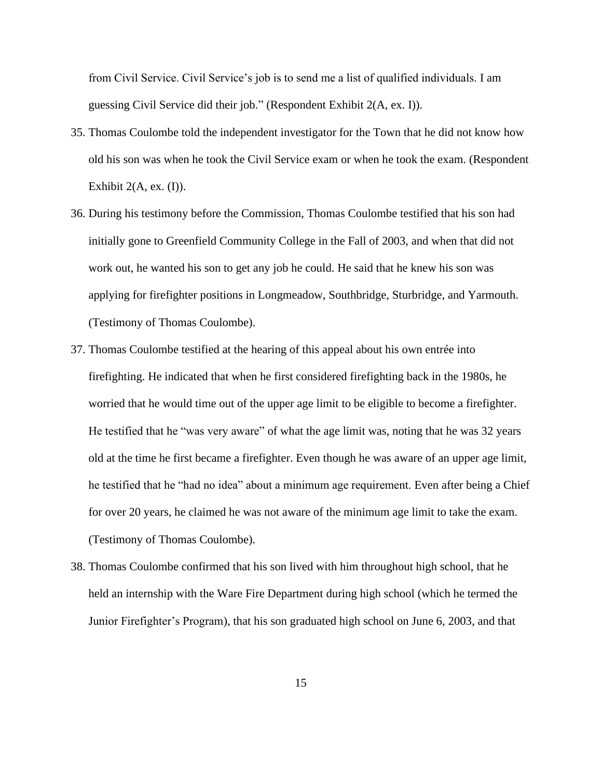from Civil Service. Civil Service's job is to send me a list of qualified individuals. I am guessing Civil Service did their job." (Respondent Exhibit 2(A, ex. I)).

- 35. Thomas Coulombe told the independent investigator for the Town that he did not know how old his son was when he took the Civil Service exam or when he took the exam. (Respondent Exhibit  $2(A, ex. (I)).$
- 36. During his testimony before the Commission, Thomas Coulombe testified that his son had initially gone to Greenfield Community College in the Fall of 2003, and when that did not work out, he wanted his son to get any job he could. He said that he knew his son was applying for firefighter positions in Longmeadow, Southbridge, Sturbridge, and Yarmouth. (Testimony of Thomas Coulombe).
- 37. Thomas Coulombe testified at the hearing of this appeal about his own entrée into firefighting. He indicated that when he first considered firefighting back in the 1980s, he worried that he would time out of the upper age limit to be eligible to become a firefighter. He testified that he "was very aware" of what the age limit was, noting that he was 32 years old at the time he first became a firefighter. Even though he was aware of an upper age limit, he testified that he "had no idea" about a minimum age requirement. Even after being a Chief for over 20 years, he claimed he was not aware of the minimum age limit to take the exam. (Testimony of Thomas Coulombe).
- 38. Thomas Coulombe confirmed that his son lived with him throughout high school, that he held an internship with the Ware Fire Department during high school (which he termed the Junior Firefighter's Program), that his son graduated high school on June 6, 2003, and that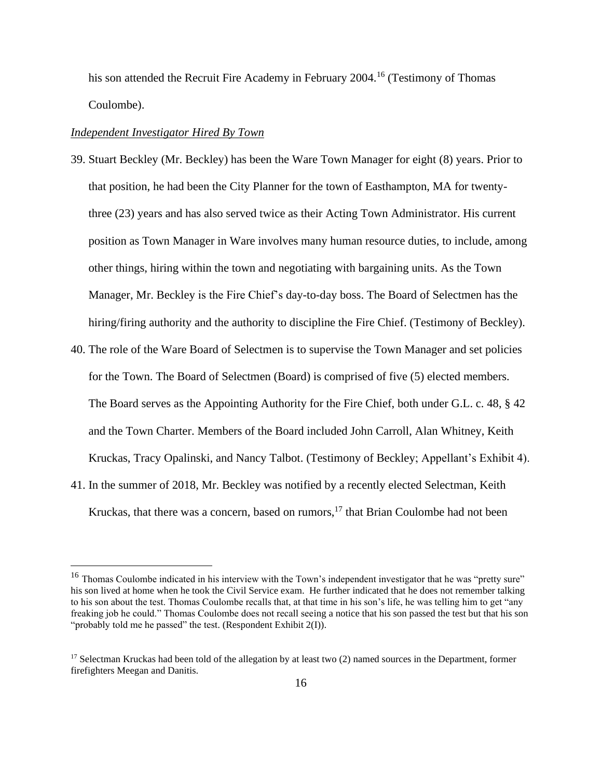his son attended the Recruit Fire Academy in February 2004.<sup>16</sup> (Testimony of Thomas Coulombe).

#### *Independent Investigator Hired By Town*

- 39. Stuart Beckley (Mr. Beckley) has been the Ware Town Manager for eight (8) years. Prior to that position, he had been the City Planner for the town of Easthampton, MA for twentythree (23) years and has also served twice as their Acting Town Administrator. His current position as Town Manager in Ware involves many human resource duties, to include, among other things, hiring within the town and negotiating with bargaining units. As the Town Manager, Mr. Beckley is the Fire Chief's day-to-day boss. The Board of Selectmen has the hiring/firing authority and the authority to discipline the Fire Chief. (Testimony of Beckley).
- 40. The role of the Ware Board of Selectmen is to supervise the Town Manager and set policies for the Town. The Board of Selectmen (Board) is comprised of five (5) elected members. The Board serves as the Appointing Authority for the Fire Chief, both under G.L. c. 48, § 42 and the Town Charter. Members of the Board included John Carroll, Alan Whitney, Keith Kruckas, Tracy Opalinski, and Nancy Talbot. (Testimony of Beckley; Appellant's Exhibit 4).
- 41. In the summer of 2018, Mr. Beckley was notified by a recently elected Selectman, Keith Kruckas, that there was a concern, based on rumors,  $17$  that Brian Coulombe had not been

<sup>&</sup>lt;sup>16</sup> Thomas Coulombe indicated in his interview with the Town's independent investigator that he was "pretty sure" his son lived at home when he took the Civil Service exam. He further indicated that he does not remember talking to his son about the test. Thomas Coulombe recalls that, at that time in his son's life, he was telling him to get "any freaking job he could." Thomas Coulombe does not recall seeing a notice that his son passed the test but that his son "probably told me he passed" the test. (Respondent Exhibit 2(I)).

 $17$  Selectman Kruckas had been told of the allegation by at least two (2) named sources in the Department, former firefighters Meegan and Danitis.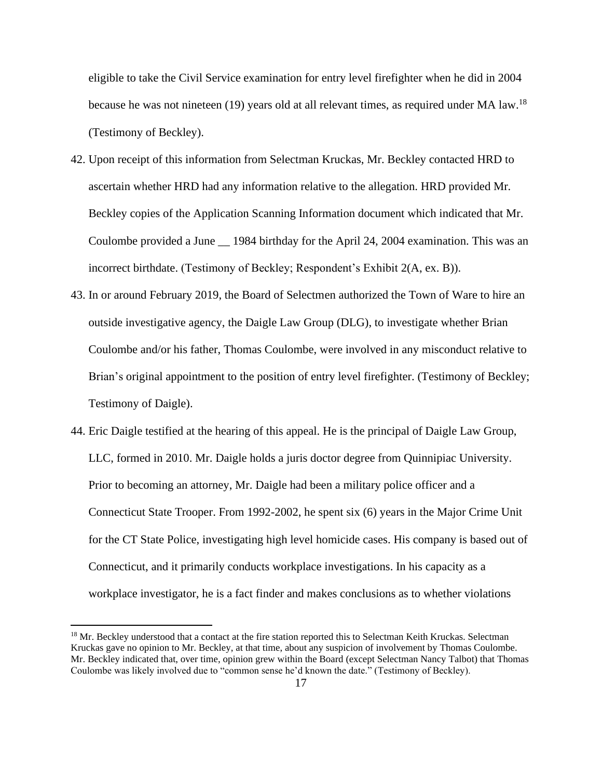eligible to take the Civil Service examination for entry level firefighter when he did in 2004 because he was not nineteen (19) years old at all relevant times, as required under MA law.<sup>18</sup> (Testimony of Beckley).

- 42. Upon receipt of this information from Selectman Kruckas, Mr. Beckley contacted HRD to ascertain whether HRD had any information relative to the allegation. HRD provided Mr. Beckley copies of the Application Scanning Information document which indicated that Mr. Coulombe provided a June \_\_ 1984 birthday for the April 24, 2004 examination. This was an incorrect birthdate. (Testimony of Beckley; Respondent's Exhibit 2(A, ex. B)).
- 43. In or around February 2019, the Board of Selectmen authorized the Town of Ware to hire an outside investigative agency, the Daigle Law Group (DLG), to investigate whether Brian Coulombe and/or his father, Thomas Coulombe, were involved in any misconduct relative to Brian's original appointment to the position of entry level firefighter. (Testimony of Beckley; Testimony of Daigle).
- 44. Eric Daigle testified at the hearing of this appeal. He is the principal of Daigle Law Group, LLC, formed in 2010. Mr. Daigle holds a juris doctor degree from Quinnipiac University. Prior to becoming an attorney, Mr. Daigle had been a military police officer and a Connecticut State Trooper. From 1992-2002, he spent six (6) years in the Major Crime Unit for the CT State Police, investigating high level homicide cases. His company is based out of Connecticut, and it primarily conducts workplace investigations. In his capacity as a workplace investigator, he is a fact finder and makes conclusions as to whether violations

<sup>&</sup>lt;sup>18</sup> Mr. Beckley understood that a contact at the fire station reported this to Selectman Keith Kruckas. Selectman Kruckas gave no opinion to Mr. Beckley, at that time, about any suspicion of involvement by Thomas Coulombe. Mr. Beckley indicated that, over time, opinion grew within the Board (except Selectman Nancy Talbot) that Thomas Coulombe was likely involved due to "common sense he'd known the date." (Testimony of Beckley).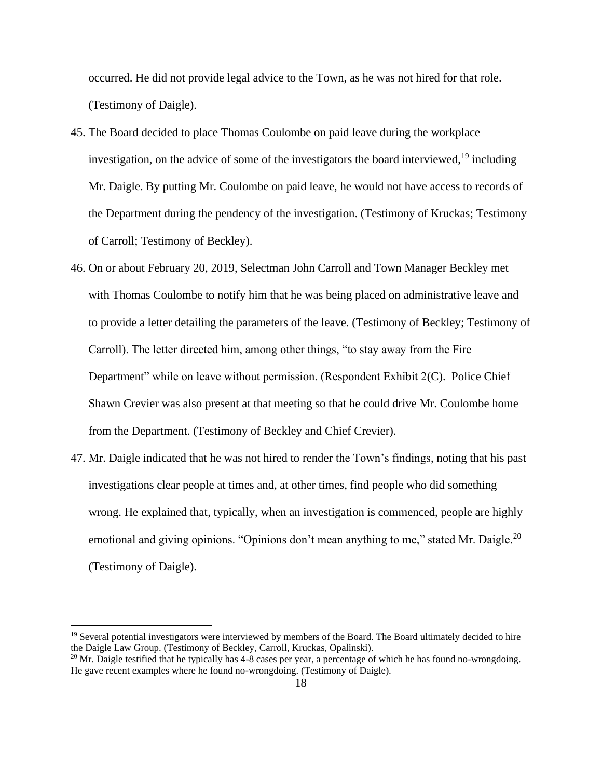occurred. He did not provide legal advice to the Town, as he was not hired for that role. (Testimony of Daigle).

- 45. The Board decided to place Thomas Coulombe on paid leave during the workplace investigation, on the advice of some of the investigators the board interviewed,<sup>19</sup> including Mr. Daigle. By putting Mr. Coulombe on paid leave, he would not have access to records of the Department during the pendency of the investigation. (Testimony of Kruckas; Testimony of Carroll; Testimony of Beckley).
- 46. On or about February 20, 2019, Selectman John Carroll and Town Manager Beckley met with Thomas Coulombe to notify him that he was being placed on administrative leave and to provide a letter detailing the parameters of the leave. (Testimony of Beckley; Testimony of Carroll). The letter directed him, among other things, "to stay away from the Fire Department" while on leave without permission. (Respondent Exhibit 2(C). Police Chief Shawn Crevier was also present at that meeting so that he could drive Mr. Coulombe home from the Department. (Testimony of Beckley and Chief Crevier).
- 47. Mr. Daigle indicated that he was not hired to render the Town's findings, noting that his past investigations clear people at times and, at other times, find people who did something wrong. He explained that, typically, when an investigation is commenced, people are highly emotional and giving opinions. "Opinions don't mean anything to me," stated Mr. Daigle.<sup>20</sup> (Testimony of Daigle).

 $19$  Several potential investigators were interviewed by members of the Board. The Board ultimately decided to hire the Daigle Law Group. (Testimony of Beckley, Carroll, Kruckas, Opalinski).

 $^{20}$  Mr. Daigle testified that he typically has 4-8 cases per year, a percentage of which he has found no-wrongdoing. He gave recent examples where he found no-wrongdoing. (Testimony of Daigle).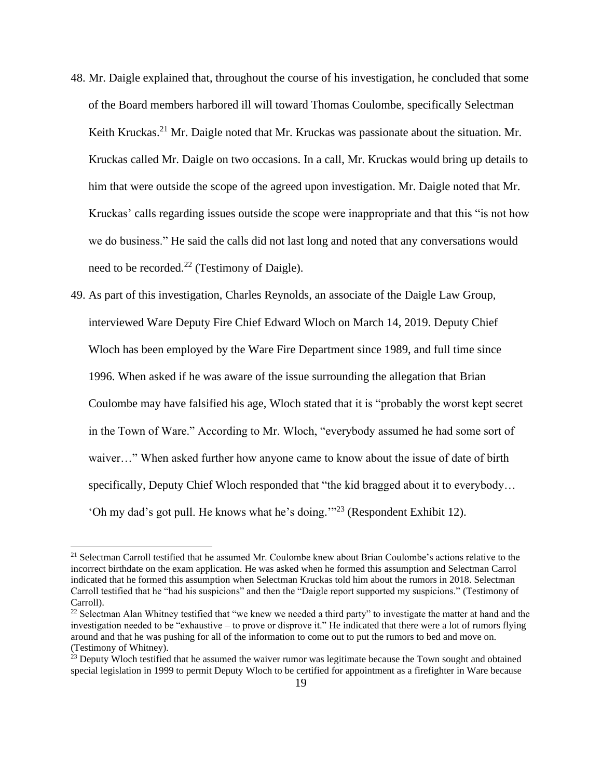- 48. Mr. Daigle explained that, throughout the course of his investigation, he concluded that some of the Board members harbored ill will toward Thomas Coulombe, specifically Selectman Keith Kruckas.<sup>21</sup> Mr. Daigle noted that Mr. Kruckas was passionate about the situation. Mr. Kruckas called Mr. Daigle on two occasions. In a call, Mr. Kruckas would bring up details to him that were outside the scope of the agreed upon investigation. Mr. Daigle noted that Mr. Kruckas' calls regarding issues outside the scope were inappropriate and that this "is not how we do business." He said the calls did not last long and noted that any conversations would need to be recorded.<sup>22</sup> (Testimony of Daigle).
- 49. As part of this investigation, Charles Reynolds, an associate of the Daigle Law Group, interviewed Ware Deputy Fire Chief Edward Wloch on March 14, 2019. Deputy Chief Wloch has been employed by the Ware Fire Department since 1989, and full time since 1996. When asked if he was aware of the issue surrounding the allegation that Brian Coulombe may have falsified his age, Wloch stated that it is "probably the worst kept secret in the Town of Ware." According to Mr. Wloch, "everybody assumed he had some sort of waiver…" When asked further how anyone came to know about the issue of date of birth specifically, Deputy Chief Wloch responded that "the kid bragged about it to everybody… 'Oh my dad's got pull. He knows what he's doing.'" <sup>23</sup> (Respondent Exhibit 12).

<sup>&</sup>lt;sup>21</sup> Selectman Carroll testified that he assumed Mr. Coulombe knew about Brian Coulombe's actions relative to the incorrect birthdate on the exam application. He was asked when he formed this assumption and Selectman Carrol indicated that he formed this assumption when Selectman Kruckas told him about the rumors in 2018. Selectman Carroll testified that he "had his suspicions" and then the "Daigle report supported my suspicions." (Testimony of Carroll).

<sup>&</sup>lt;sup>22</sup> Selectman Alan Whitney testified that "we knew we needed a third party" to investigate the matter at hand and the investigation needed to be "exhaustive – to prove or disprove it." He indicated that there were a lot of rumors flying around and that he was pushing for all of the information to come out to put the rumors to bed and move on. (Testimony of Whitney).

<sup>&</sup>lt;sup>23</sup> Deputy Wloch testified that he assumed the waiver rumor was legitimate because the Town sought and obtained special legislation in 1999 to permit Deputy Wloch to be certified for appointment as a firefighter in Ware because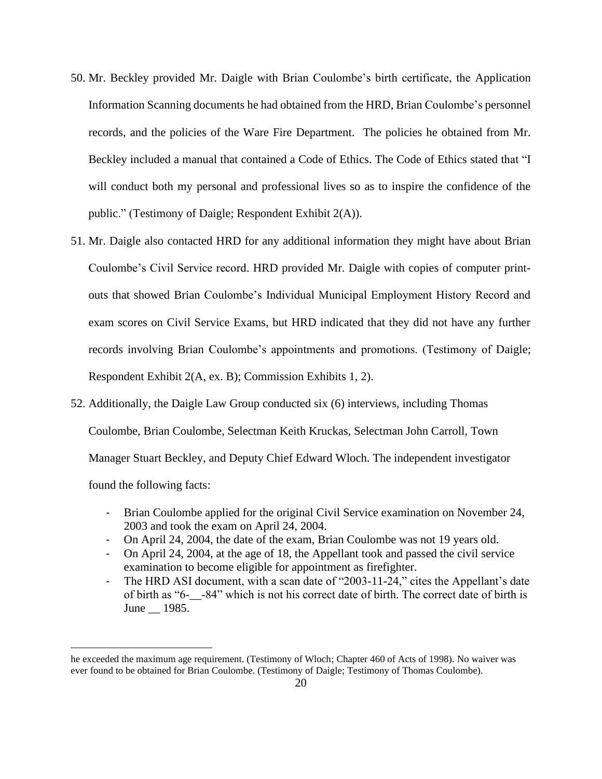- 50. Mr. Beckley provided Mr. Daigle with Brian Coulombe's birth certificate, the Application Information Scanning documents he had obtained from the HRD, Brian Coulombe's personnel records, and the policies of the Ware Fire Department. The policies he obtained from Mr. Beckley included a manual that contained a Code of Ethics. The Code of Ethics stated that "I will conduct both my personal and professional lives so as to inspire the confidence of the public." (Testimony of Daigle; Respondent Exhibit 2(A)).
- 51. Mr. Daigle also contacted HRD for any additional information they might have about Brian Coulombe's Civil Service record. HRD provided Mr. Daigle with copies of computer printouts that showed Brian Coulombe's Individual Municipal Employment History Record and exam scores on Civil Service Exams, but HRD indicated that they did not have any further records involving Brian Coulombe's appointments and promotions. (Testimony of Daigle; Respondent Exhibit 2(A, ex. B); Commission Exhibits 1, 2).
- 52. Additionally, the Daigle Law Group conducted six (6) interviews, including Thomas Coulombe, Brian Coulombe, Selectman Keith Kruckas, Selectman John Carroll, Town Manager Stuart Beckley, and Deputy Chief Edward Wloch. The independent investigator found the following facts:
	- Brian Coulombe applied for the original Civil Service examination on November 24, 2003 and took the exam on April 24, 2004.
	- On April 24, 2004, the date of the exam, Brian Coulombe was not 19 years old.
	- On April 24, 2004, at the age of 18, the Appellant took and passed the civil service examination to become eligible for appointment as firefighter.
	- The HRD ASI document, with a scan date of "2003-11-24," cites the Appellant's date of birth as "6-\_\_-84" which is not his correct date of birth. The correct date of birth is June \_\_ 1985.

he exceeded the maximum age requirement. (Testimony of Wloch; Chapter 460 of Acts of 1998). No waiver was ever found to be obtained for Brian Coulombe. (Testimony of Daigle; Testimony of Thomas Coulombe).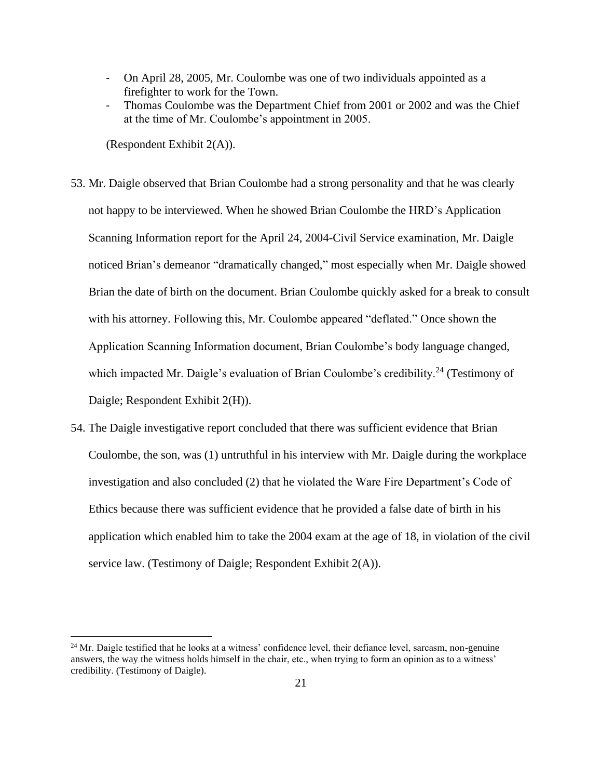- On April 28, 2005, Mr. Coulombe was one of two individuals appointed as a firefighter to work for the Town.
- Thomas Coulombe was the Department Chief from 2001 or 2002 and was the Chief at the time of Mr. Coulombe's appointment in 2005.

(Respondent Exhibit 2(A)).

- 53. Mr. Daigle observed that Brian Coulombe had a strong personality and that he was clearly not happy to be interviewed. When he showed Brian Coulombe the HRD's Application Scanning Information report for the April 24, 2004-Civil Service examination, Mr. Daigle noticed Brian's demeanor "dramatically changed," most especially when Mr. Daigle showed Brian the date of birth on the document. Brian Coulombe quickly asked for a break to consult with his attorney. Following this, Mr. Coulombe appeared "deflated." Once shown the Application Scanning Information document, Brian Coulombe's body language changed, which impacted Mr. Daigle's evaluation of Brian Coulombe's credibility.<sup>24</sup> (Testimony of Daigle; Respondent Exhibit 2(H)).
- 54. The Daigle investigative report concluded that there was sufficient evidence that Brian Coulombe, the son, was (1) untruthful in his interview with Mr. Daigle during the workplace investigation and also concluded (2) that he violated the Ware Fire Department's Code of Ethics because there was sufficient evidence that he provided a false date of birth in his application which enabled him to take the 2004 exam at the age of 18, in violation of the civil service law. (Testimony of Daigle; Respondent Exhibit 2(A)).

 $24$  Mr. Daigle testified that he looks at a witness' confidence level, their defiance level, sarcasm, non-genuine answers, the way the witness holds himself in the chair, etc., when trying to form an opinion as to a witness' credibility. (Testimony of Daigle).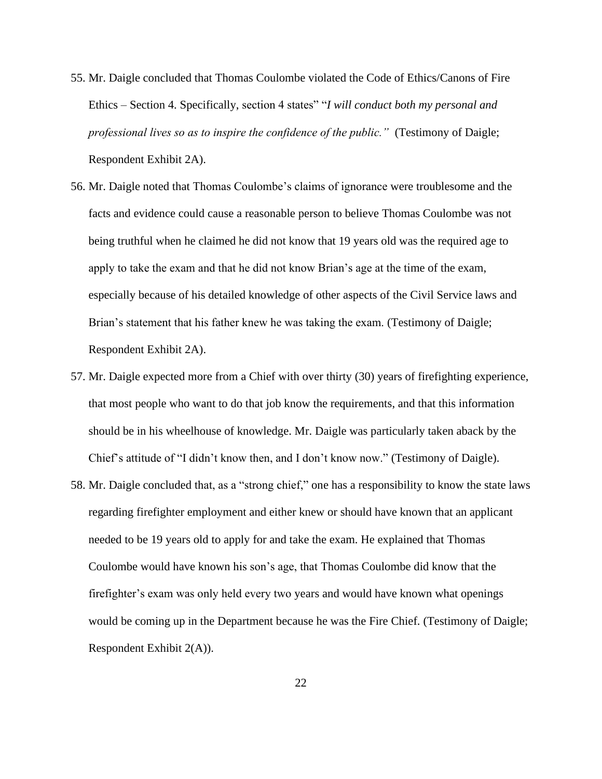- 55. Mr. Daigle concluded that Thomas Coulombe violated the Code of Ethics/Canons of Fire Ethics – Section 4. Specifically, section 4 states" "*I will conduct both my personal and professional lives so as to inspire the confidence of the public."* (Testimony of Daigle; Respondent Exhibit 2A).
- 56. Mr. Daigle noted that Thomas Coulombe's claims of ignorance were troublesome and the facts and evidence could cause a reasonable person to believe Thomas Coulombe was not being truthful when he claimed he did not know that 19 years old was the required age to apply to take the exam and that he did not know Brian's age at the time of the exam, especially because of his detailed knowledge of other aspects of the Civil Service laws and Brian's statement that his father knew he was taking the exam. (Testimony of Daigle; Respondent Exhibit 2A).
- 57. Mr. Daigle expected more from a Chief with over thirty (30) years of firefighting experience, that most people who want to do that job know the requirements, and that this information should be in his wheelhouse of knowledge. Mr. Daigle was particularly taken aback by the Chief's attitude of "I didn't know then, and I don't know now." (Testimony of Daigle).
- 58. Mr. Daigle concluded that, as a "strong chief," one has a responsibility to know the state laws regarding firefighter employment and either knew or should have known that an applicant needed to be 19 years old to apply for and take the exam. He explained that Thomas Coulombe would have known his son's age, that Thomas Coulombe did know that the firefighter's exam was only held every two years and would have known what openings would be coming up in the Department because he was the Fire Chief. (Testimony of Daigle; Respondent Exhibit 2(A)).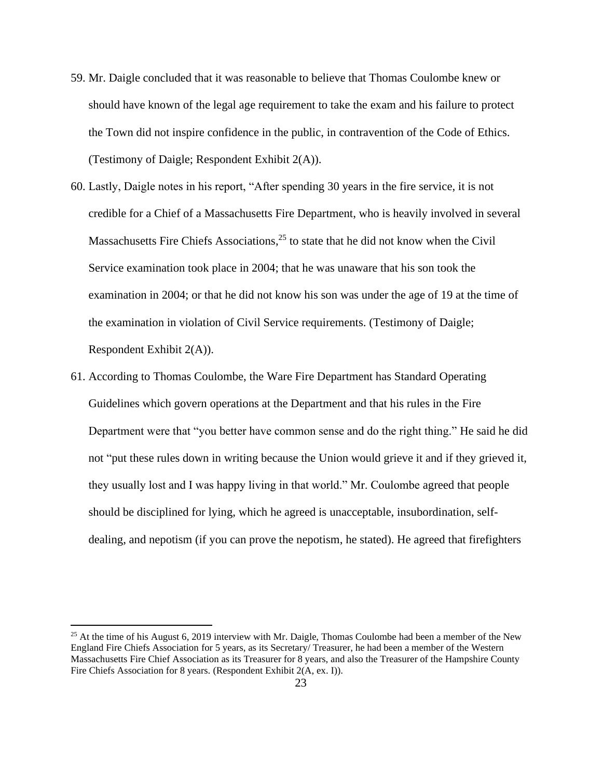- 59. Mr. Daigle concluded that it was reasonable to believe that Thomas Coulombe knew or should have known of the legal age requirement to take the exam and his failure to protect the Town did not inspire confidence in the public, in contravention of the Code of Ethics. (Testimony of Daigle; Respondent Exhibit 2(A)).
- 60. Lastly, Daigle notes in his report, "After spending 30 years in the fire service, it is not credible for a Chief of a Massachusetts Fire Department, who is heavily involved in several Massachusetts Fire Chiefs Associations,<sup>25</sup> to state that he did not know when the Civil Service examination took place in 2004; that he was unaware that his son took the examination in 2004; or that he did not know his son was under the age of 19 at the time of the examination in violation of Civil Service requirements. (Testimony of Daigle; Respondent Exhibit 2(A)).
- 61. According to Thomas Coulombe, the Ware Fire Department has Standard Operating Guidelines which govern operations at the Department and that his rules in the Fire Department were that "you better have common sense and do the right thing." He said he did not "put these rules down in writing because the Union would grieve it and if they grieved it, they usually lost and I was happy living in that world." Mr. Coulombe agreed that people should be disciplined for lying, which he agreed is unacceptable, insubordination, selfdealing, and nepotism (if you can prove the nepotism, he stated). He agreed that firefighters

<sup>&</sup>lt;sup>25</sup> At the time of his August 6, 2019 interview with Mr. Daigle, Thomas Coulombe had been a member of the New England Fire Chiefs Association for 5 years, as its Secretary/ Treasurer, he had been a member of the Western Massachusetts Fire Chief Association as its Treasurer for 8 years, and also the Treasurer of the Hampshire County Fire Chiefs Association for 8 years. (Respondent Exhibit 2(A, ex. I)).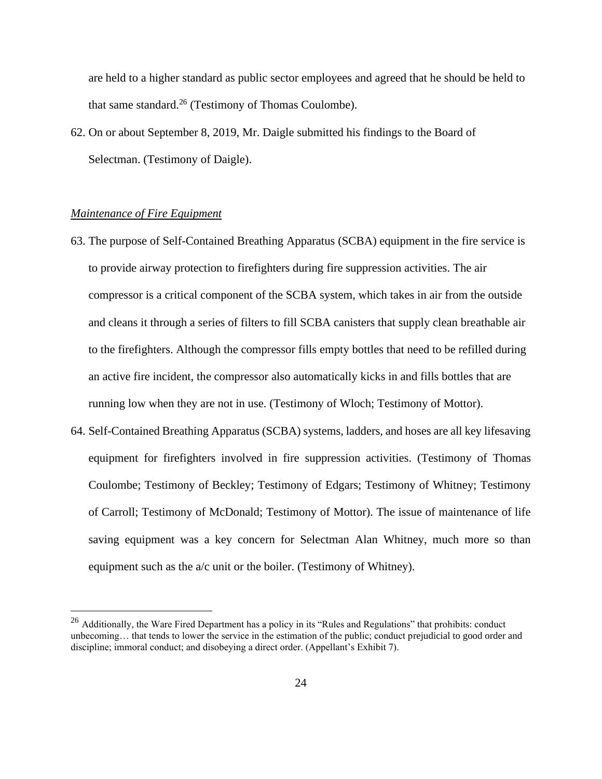are held to a higher standard as public sector employees and agreed that he should be held to that same standard. $26$  (Testimony of Thomas Coulombe).

62. On or about September 8, 2019, Mr. Daigle submitted his findings to the Board of Selectman. (Testimony of Daigle).

### *Maintenance of Fire Equipment*

- 63. The purpose of Self-Contained Breathing Apparatus (SCBA) equipment in the fire service is to provide airway protection to firefighters during fire suppression activities. The air compressor is a critical component of the SCBA system, which takes in air from the outside and cleans it through a series of filters to fill SCBA canisters that supply clean breathable air to the firefighters. Although the compressor fills empty bottles that need to be refilled during an active fire incident, the compressor also automatically kicks in and fills bottles that are running low when they are not in use. (Testimony of Wloch; Testimony of Mottor).
- 64. Self-Contained Breathing Apparatus (SCBA) systems, ladders, and hoses are all key lifesaving equipment for firefighters involved in fire suppression activities. (Testimony of Thomas Coulombe; Testimony of Beckley; Testimony of Edgars; Testimony of Whitney; Testimony of Carroll; Testimony of McDonald; Testimony of Mottor). The issue of maintenance of life saving equipment was a key concern for Selectman Alan Whitney, much more so than equipment such as the a/c unit or the boiler. (Testimony of Whitney).

<sup>&</sup>lt;sup>26</sup> Additionally, the Ware Fired Department has a policy in its "Rules and Regulations" that prohibits: conduct unbecoming… that tends to lower the service in the estimation of the public; conduct prejudicial to good order and discipline; immoral conduct; and disobeying a direct order. (Appellant's Exhibit 7).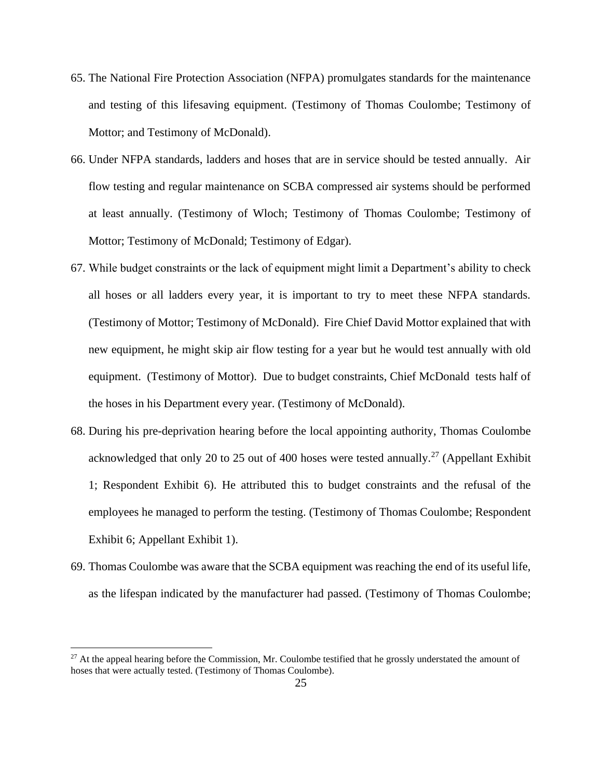- 65. The National Fire Protection Association (NFPA) promulgates standards for the maintenance and testing of this lifesaving equipment. (Testimony of Thomas Coulombe; Testimony of Mottor; and Testimony of McDonald).
- 66. Under NFPA standards, ladders and hoses that are in service should be tested annually. Air flow testing and regular maintenance on SCBA compressed air systems should be performed at least annually. (Testimony of Wloch; Testimony of Thomas Coulombe; Testimony of Mottor; Testimony of McDonald; Testimony of Edgar).
- 67. While budget constraints or the lack of equipment might limit a Department's ability to check all hoses or all ladders every year, it is important to try to meet these NFPA standards. (Testimony of Mottor; Testimony of McDonald). Fire Chief David Mottor explained that with new equipment, he might skip air flow testing for a year but he would test annually with old equipment. (Testimony of Mottor). Due to budget constraints, Chief McDonald tests half of the hoses in his Department every year. (Testimony of McDonald).
- 68. During his pre-deprivation hearing before the local appointing authority, Thomas Coulombe acknowledged that only 20 to 25 out of 400 hoses were tested annually.<sup>27</sup> (Appellant Exhibit 1; Respondent Exhibit 6). He attributed this to budget constraints and the refusal of the employees he managed to perform the testing. (Testimony of Thomas Coulombe; Respondent Exhibit 6; Appellant Exhibit 1).
- 69. Thomas Coulombe was aware that the SCBA equipment was reaching the end of its useful life, as the lifespan indicated by the manufacturer had passed. (Testimony of Thomas Coulombe;

 $27$  At the appeal hearing before the Commission, Mr. Coulombe testified that he grossly understated the amount of hoses that were actually tested. (Testimony of Thomas Coulombe).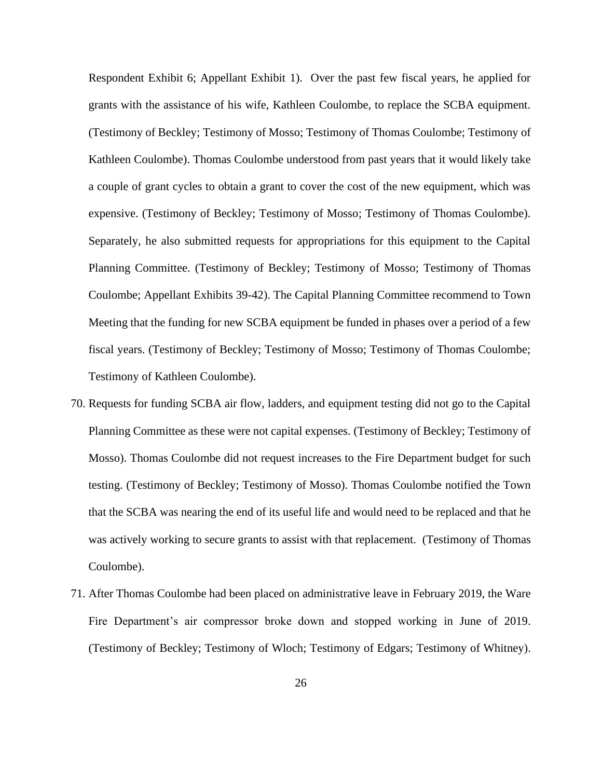Respondent Exhibit 6; Appellant Exhibit 1). Over the past few fiscal years, he applied for grants with the assistance of his wife, Kathleen Coulombe, to replace the SCBA equipment. (Testimony of Beckley; Testimony of Mosso; Testimony of Thomas Coulombe; Testimony of Kathleen Coulombe). Thomas Coulombe understood from past years that it would likely take a couple of grant cycles to obtain a grant to cover the cost of the new equipment, which was expensive. (Testimony of Beckley; Testimony of Mosso; Testimony of Thomas Coulombe). Separately, he also submitted requests for appropriations for this equipment to the Capital Planning Committee. (Testimony of Beckley; Testimony of Mosso; Testimony of Thomas Coulombe; Appellant Exhibits 39-42). The Capital Planning Committee recommend to Town Meeting that the funding for new SCBA equipment be funded in phases over a period of a few fiscal years. (Testimony of Beckley; Testimony of Mosso; Testimony of Thomas Coulombe; Testimony of Kathleen Coulombe).

- 70. Requests for funding SCBA air flow, ladders, and equipment testing did not go to the Capital Planning Committee as these were not capital expenses. (Testimony of Beckley; Testimony of Mosso). Thomas Coulombe did not request increases to the Fire Department budget for such testing. (Testimony of Beckley; Testimony of Mosso). Thomas Coulombe notified the Town that the SCBA was nearing the end of its useful life and would need to be replaced and that he was actively working to secure grants to assist with that replacement. (Testimony of Thomas Coulombe).
- 71. After Thomas Coulombe had been placed on administrative leave in February 2019, the Ware Fire Department's air compressor broke down and stopped working in June of 2019. (Testimony of Beckley; Testimony of Wloch; Testimony of Edgars; Testimony of Whitney).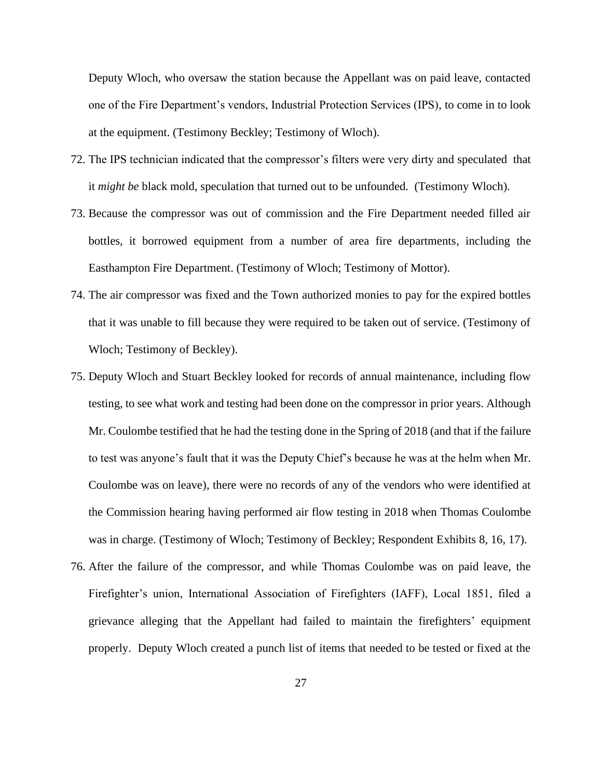Deputy Wloch, who oversaw the station because the Appellant was on paid leave, contacted one of the Fire Department's vendors, Industrial Protection Services (IPS), to come in to look at the equipment. (Testimony Beckley; Testimony of Wloch).

- 72. The IPS technician indicated that the compressor's filters were very dirty and speculated that it *might be* black mold, speculation that turned out to be unfounded. (Testimony Wloch).
- 73. Because the compressor was out of commission and the Fire Department needed filled air bottles, it borrowed equipment from a number of area fire departments, including the Easthampton Fire Department. (Testimony of Wloch; Testimony of Mottor).
- 74. The air compressor was fixed and the Town authorized monies to pay for the expired bottles that it was unable to fill because they were required to be taken out of service. (Testimony of Wloch; Testimony of Beckley).
- 75. Deputy Wloch and Stuart Beckley looked for records of annual maintenance, including flow testing, to see what work and testing had been done on the compressor in prior years. Although Mr. Coulombe testified that he had the testing done in the Spring of 2018 (and that if the failure to test was anyone's fault that it was the Deputy Chief's because he was at the helm when Mr. Coulombe was on leave), there were no records of any of the vendors who were identified at the Commission hearing having performed air flow testing in 2018 when Thomas Coulombe was in charge. (Testimony of Wloch; Testimony of Beckley; Respondent Exhibits 8, 16, 17).
- 76. After the failure of the compressor, and while Thomas Coulombe was on paid leave, the Firefighter's union, International Association of Firefighters (IAFF), Local 1851, filed a grievance alleging that the Appellant had failed to maintain the firefighters' equipment properly. Deputy Wloch created a punch list of items that needed to be tested or fixed at the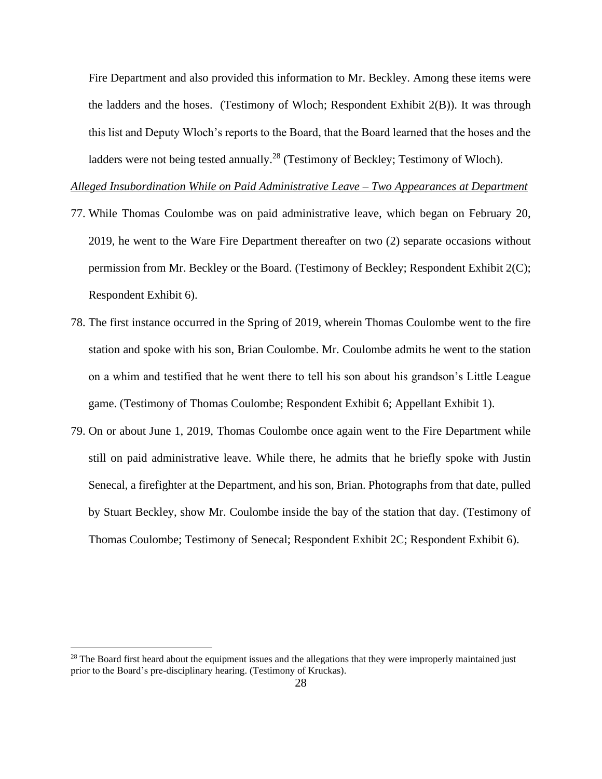Fire Department and also provided this information to Mr. Beckley. Among these items were the ladders and the hoses. (Testimony of Wloch; Respondent Exhibit  $2(B)$ ). It was through this list and Deputy Wloch's reports to the Board, that the Board learned that the hoses and the ladders were not being tested annually.<sup>28</sup> (Testimony of Beckley; Testimony of Wloch).

*Alleged Insubordination While on Paid Administrative Leave – Two Appearances at Department*

- 77. While Thomas Coulombe was on paid administrative leave, which began on February 20, 2019, he went to the Ware Fire Department thereafter on two (2) separate occasions without permission from Mr. Beckley or the Board. (Testimony of Beckley; Respondent Exhibit 2(C); Respondent Exhibit 6).
- 78. The first instance occurred in the Spring of 2019, wherein Thomas Coulombe went to the fire station and spoke with his son, Brian Coulombe. Mr. Coulombe admits he went to the station on a whim and testified that he went there to tell his son about his grandson's Little League game. (Testimony of Thomas Coulombe; Respondent Exhibit 6; Appellant Exhibit 1).
- 79. On or about June 1, 2019, Thomas Coulombe once again went to the Fire Department while still on paid administrative leave. While there, he admits that he briefly spoke with Justin Senecal, a firefighter at the Department, and his son, Brian. Photographs from that date, pulled by Stuart Beckley, show Mr. Coulombe inside the bay of the station that day. (Testimony of Thomas Coulombe; Testimony of Senecal; Respondent Exhibit 2C; Respondent Exhibit 6).

<sup>&</sup>lt;sup>28</sup> The Board first heard about the equipment issues and the allegations that they were improperly maintained just prior to the Board's pre-disciplinary hearing. (Testimony of Kruckas).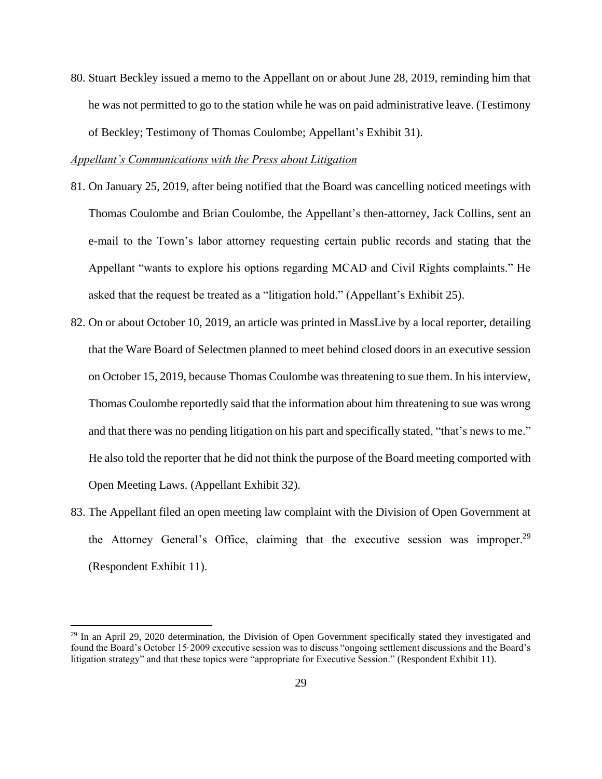80. Stuart Beckley issued a memo to the Appellant on or about June 28, 2019, reminding him that he was not permitted to go to the station while he was on paid administrative leave. (Testimony of Beckley; Testimony of Thomas Coulombe; Appellant's Exhibit 31).

### *Appellant's Communications with the Press about Litigation*

- 81. On January 25, 2019, after being notified that the Board was cancelling noticed meetings with Thomas Coulombe and Brian Coulombe, the Appellant's then-attorney, Jack Collins, sent an e-mail to the Town's labor attorney requesting certain public records and stating that the Appellant "wants to explore his options regarding MCAD and Civil Rights complaints." He asked that the request be treated as a "litigation hold." (Appellant's Exhibit 25).
- 82. On or about October 10, 2019, an article was printed in MassLive by a local reporter, detailing that the Ware Board of Selectmen planned to meet behind closed doors in an executive session on October 15, 2019, because Thomas Coulombe was threatening to sue them. In his interview, Thomas Coulombe reportedly said that the information about him threatening to sue was wrong and that there was no pending litigation on his part and specifically stated, "that's news to me." He also told the reporter that he did not think the purpose of the Board meeting comported with Open Meeting Laws. (Appellant Exhibit 32).
- 83. The Appellant filed an open meeting law complaint with the Division of Open Government at the Attorney General's Office, claiming that the executive session was improper.<sup>29</sup> (Respondent Exhibit 11).

 $29$  In an April 29, 2020 determination, the Division of Open Government specifically stated they investigated and found the Board's October 15, 2009 executive session was to discuss "ongoing settlement discussions and the Board's litigation strategy" and that these topics were "appropriate for Executive Session." (Respondent Exhibit 11).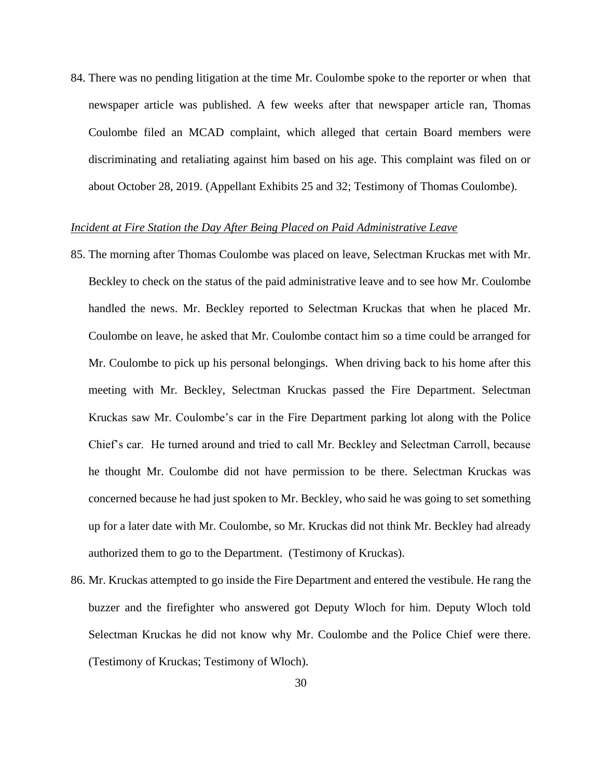84. There was no pending litigation at the time Mr. Coulombe spoke to the reporter or when that newspaper article was published. A few weeks after that newspaper article ran, Thomas Coulombe filed an MCAD complaint, which alleged that certain Board members were discriminating and retaliating against him based on his age. This complaint was filed on or about October 28, 2019. (Appellant Exhibits 25 and 32; Testimony of Thomas Coulombe).

# *Incident at Fire Station the Day After Being Placed on Paid Administrative Leave*

- 85. The morning after Thomas Coulombe was placed on leave, Selectman Kruckas met with Mr. Beckley to check on the status of the paid administrative leave and to see how Mr. Coulombe handled the news. Mr. Beckley reported to Selectman Kruckas that when he placed Mr. Coulombe on leave, he asked that Mr. Coulombe contact him so a time could be arranged for Mr. Coulombe to pick up his personal belongings. When driving back to his home after this meeting with Mr. Beckley, Selectman Kruckas passed the Fire Department. Selectman Kruckas saw Mr. Coulombe's car in the Fire Department parking lot along with the Police Chief's car. He turned around and tried to call Mr. Beckley and Selectman Carroll, because he thought Mr. Coulombe did not have permission to be there. Selectman Kruckas was concerned because he had just spoken to Mr. Beckley, who said he was going to set something up for a later date with Mr. Coulombe, so Mr. Kruckas did not think Mr. Beckley had already authorized them to go to the Department. (Testimony of Kruckas).
- 86. Mr. Kruckas attempted to go inside the Fire Department and entered the vestibule. He rang the buzzer and the firefighter who answered got Deputy Wloch for him. Deputy Wloch told Selectman Kruckas he did not know why Mr. Coulombe and the Police Chief were there. (Testimony of Kruckas; Testimony of Wloch).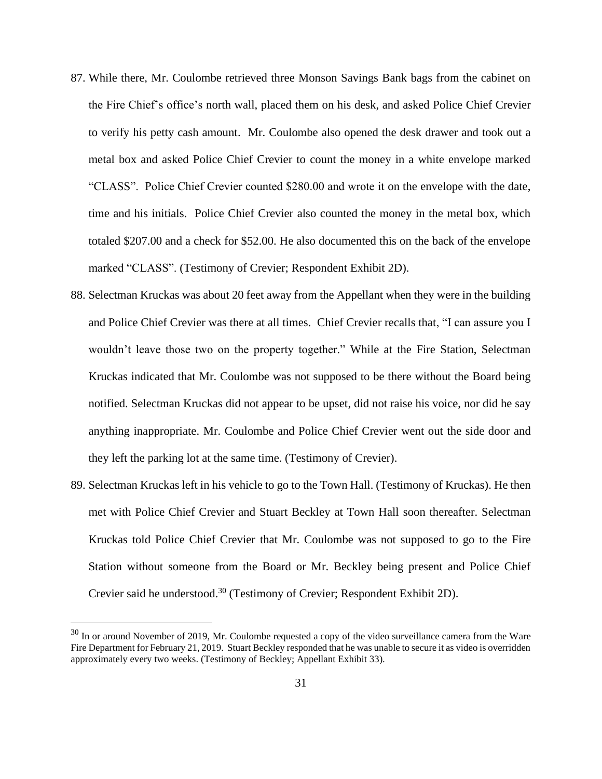- 87. While there, Mr. Coulombe retrieved three Monson Savings Bank bags from the cabinet on the Fire Chief's office's north wall, placed them on his desk, and asked Police Chief Crevier to verify his petty cash amount. Mr. Coulombe also opened the desk drawer and took out a metal box and asked Police Chief Crevier to count the money in a white envelope marked "CLASS". Police Chief Crevier counted \$280.00 and wrote it on the envelope with the date, time and his initials. Police Chief Crevier also counted the money in the metal box, which totaled \$207.00 and a check for \$52.00. He also documented this on the back of the envelope marked "CLASS". (Testimony of Crevier; Respondent Exhibit 2D).
- 88. Selectman Kruckas was about 20 feet away from the Appellant when they were in the building and Police Chief Crevier was there at all times. Chief Crevier recalls that, "I can assure you I wouldn't leave those two on the property together." While at the Fire Station, Selectman Kruckas indicated that Mr. Coulombe was not supposed to be there without the Board being notified. Selectman Kruckas did not appear to be upset, did not raise his voice, nor did he say anything inappropriate. Mr. Coulombe and Police Chief Crevier went out the side door and they left the parking lot at the same time. (Testimony of Crevier).
- 89. Selectman Kruckas left in his vehicle to go to the Town Hall. (Testimony of Kruckas). He then met with Police Chief Crevier and Stuart Beckley at Town Hall soon thereafter. Selectman Kruckas told Police Chief Crevier that Mr. Coulombe was not supposed to go to the Fire Station without someone from the Board or Mr. Beckley being present and Police Chief Crevier said he understood.<sup>30</sup> (Testimony of Crevier; Respondent Exhibit 2D).

<sup>&</sup>lt;sup>30</sup> In or around November of 2019, Mr. Coulombe requested a copy of the video surveillance camera from the Ware Fire Department for February 21, 2019. Stuart Beckley responded that he was unable to secure it as video is overridden approximately every two weeks. (Testimony of Beckley; Appellant Exhibit 33).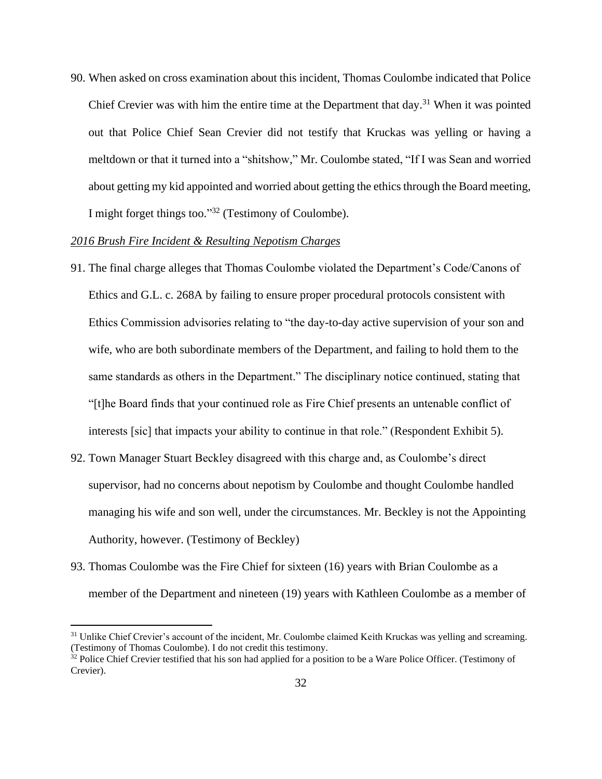90. When asked on cross examination about this incident, Thomas Coulombe indicated that Police Chief Crevier was with him the entire time at the Department that day.<sup>31</sup> When it was pointed out that Police Chief Sean Crevier did not testify that Kruckas was yelling or having a meltdown or that it turned into a "shitshow," Mr. Coulombe stated, "If I was Sean and worried about getting my kid appointed and worried about getting the ethics through the Board meeting, I might forget things too."<sup>32</sup> (Testimony of Coulombe).

#### *2016 Brush Fire Incident & Resulting Nepotism Charges*

- 91. The final charge alleges that Thomas Coulombe violated the Department's Code/Canons of Ethics and G.L. c. 268A by failing to ensure proper procedural protocols consistent with Ethics Commission advisories relating to "the day-to-day active supervision of your son and wife, who are both subordinate members of the Department, and failing to hold them to the same standards as others in the Department." The disciplinary notice continued, stating that "[t]he Board finds that your continued role as Fire Chief presents an untenable conflict of interests [sic] that impacts your ability to continue in that role." (Respondent Exhibit 5).
- 92. Town Manager Stuart Beckley disagreed with this charge and, as Coulombe's direct supervisor, had no concerns about nepotism by Coulombe and thought Coulombe handled managing his wife and son well, under the circumstances. Mr. Beckley is not the Appointing Authority, however. (Testimony of Beckley)
- 93. Thomas Coulombe was the Fire Chief for sixteen (16) years with Brian Coulombe as a member of the Department and nineteen (19) years with Kathleen Coulombe as a member of

 $31$  Unlike Chief Crevier's account of the incident, Mr. Coulombe claimed Keith Kruckas was yelling and screaming. (Testimony of Thomas Coulombe). I do not credit this testimony.

<sup>&</sup>lt;sup>32</sup> Police Chief Crevier testified that his son had applied for a position to be a Ware Police Officer. (Testimony of Crevier).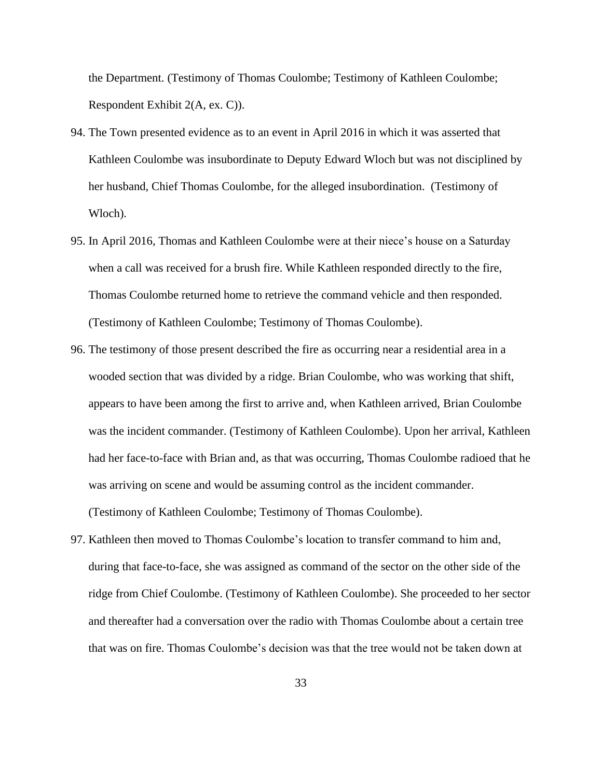the Department. (Testimony of Thomas Coulombe; Testimony of Kathleen Coulombe; Respondent Exhibit 2(A, ex. C)).

- 94. The Town presented evidence as to an event in April 2016 in which it was asserted that Kathleen Coulombe was insubordinate to Deputy Edward Wloch but was not disciplined by her husband, Chief Thomas Coulombe, for the alleged insubordination. (Testimony of Wloch).
- 95. In April 2016, Thomas and Kathleen Coulombe were at their niece's house on a Saturday when a call was received for a brush fire. While Kathleen responded directly to the fire, Thomas Coulombe returned home to retrieve the command vehicle and then responded. (Testimony of Kathleen Coulombe; Testimony of Thomas Coulombe).
- 96. The testimony of those present described the fire as occurring near a residential area in a wooded section that was divided by a ridge. Brian Coulombe, who was working that shift, appears to have been among the first to arrive and, when Kathleen arrived, Brian Coulombe was the incident commander. (Testimony of Kathleen Coulombe). Upon her arrival, Kathleen had her face-to-face with Brian and, as that was occurring, Thomas Coulombe radioed that he was arriving on scene and would be assuming control as the incident commander. (Testimony of Kathleen Coulombe; Testimony of Thomas Coulombe).
- 97. Kathleen then moved to Thomas Coulombe's location to transfer command to him and, during that face-to-face, she was assigned as command of the sector on the other side of the ridge from Chief Coulombe. (Testimony of Kathleen Coulombe). She proceeded to her sector and thereafter had a conversation over the radio with Thomas Coulombe about a certain tree that was on fire. Thomas Coulombe's decision was that the tree would not be taken down at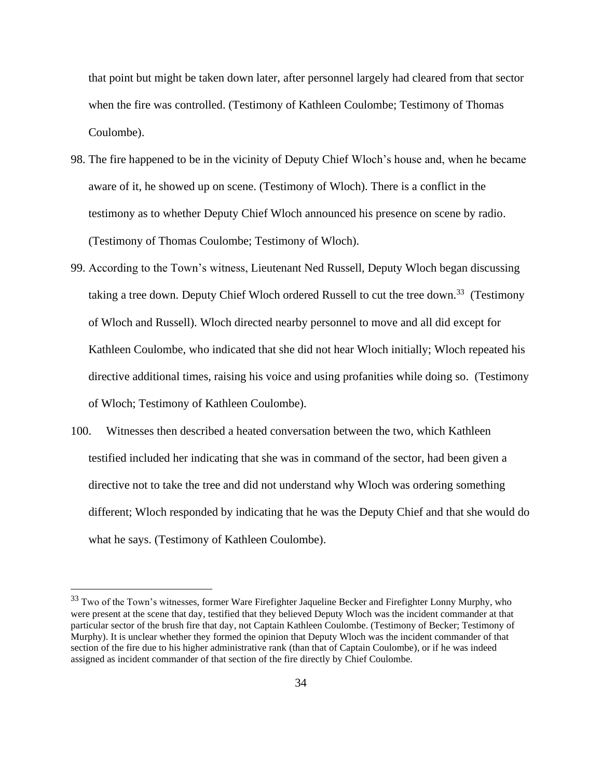that point but might be taken down later, after personnel largely had cleared from that sector when the fire was controlled. (Testimony of Kathleen Coulombe; Testimony of Thomas Coulombe).

- 98. The fire happened to be in the vicinity of Deputy Chief Wloch's house and, when he became aware of it, he showed up on scene. (Testimony of Wloch). There is a conflict in the testimony as to whether Deputy Chief Wloch announced his presence on scene by radio. (Testimony of Thomas Coulombe; Testimony of Wloch).
- 99. According to the Town's witness, Lieutenant Ned Russell, Deputy Wloch began discussing taking a tree down. Deputy Chief Wloch ordered Russell to cut the tree down.<sup>33</sup> (Testimony of Wloch and Russell). Wloch directed nearby personnel to move and all did except for Kathleen Coulombe, who indicated that she did not hear Wloch initially; Wloch repeated his directive additional times, raising his voice and using profanities while doing so. (Testimony of Wloch; Testimony of Kathleen Coulombe).
- 100. Witnesses then described a heated conversation between the two, which Kathleen testified included her indicating that she was in command of the sector, had been given a directive not to take the tree and did not understand why Wloch was ordering something different; Wloch responded by indicating that he was the Deputy Chief and that she would do what he says. (Testimony of Kathleen Coulombe).

<sup>&</sup>lt;sup>33</sup> Two of the Town's witnesses, former Ware Firefighter Jaqueline Becker and Firefighter Lonny Murphy, who were present at the scene that day, testified that they believed Deputy Wloch was the incident commander at that particular sector of the brush fire that day, not Captain Kathleen Coulombe. (Testimony of Becker; Testimony of Murphy). It is unclear whether they formed the opinion that Deputy Wloch was the incident commander of that section of the fire due to his higher administrative rank (than that of Captain Coulombe), or if he was indeed assigned as incident commander of that section of the fire directly by Chief Coulombe.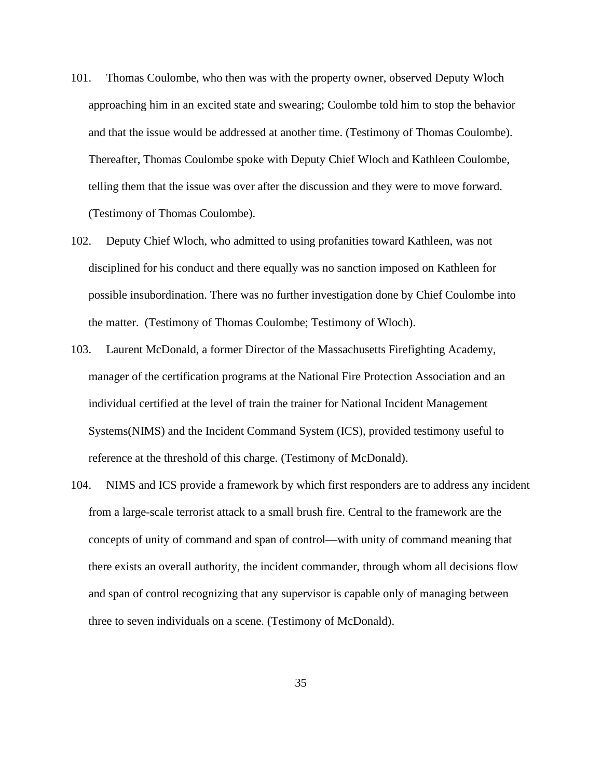- 101. Thomas Coulombe, who then was with the property owner, observed Deputy Wloch approaching him in an excited state and swearing; Coulombe told him to stop the behavior and that the issue would be addressed at another time. (Testimony of Thomas Coulombe). Thereafter, Thomas Coulombe spoke with Deputy Chief Wloch and Kathleen Coulombe, telling them that the issue was over after the discussion and they were to move forward. (Testimony of Thomas Coulombe).
- 102. Deputy Chief Wloch, who admitted to using profanities toward Kathleen, was not disciplined for his conduct and there equally was no sanction imposed on Kathleen for possible insubordination. There was no further investigation done by Chief Coulombe into the matter. (Testimony of Thomas Coulombe; Testimony of Wloch).
- 103. Laurent McDonald, a former Director of the Massachusetts Firefighting Academy, manager of the certification programs at the National Fire Protection Association and an individual certified at the level of train the trainer for National Incident Management Systems(NIMS) and the Incident Command System (ICS), provided testimony useful to reference at the threshold of this charge. (Testimony of McDonald).
- 104. NIMS and ICS provide a framework by which first responders are to address any incident from a large-scale terrorist attack to a small brush fire. Central to the framework are the concepts of unity of command and span of control—with unity of command meaning that there exists an overall authority, the incident commander, through whom all decisions flow and span of control recognizing that any supervisor is capable only of managing between three to seven individuals on a scene. (Testimony of McDonald).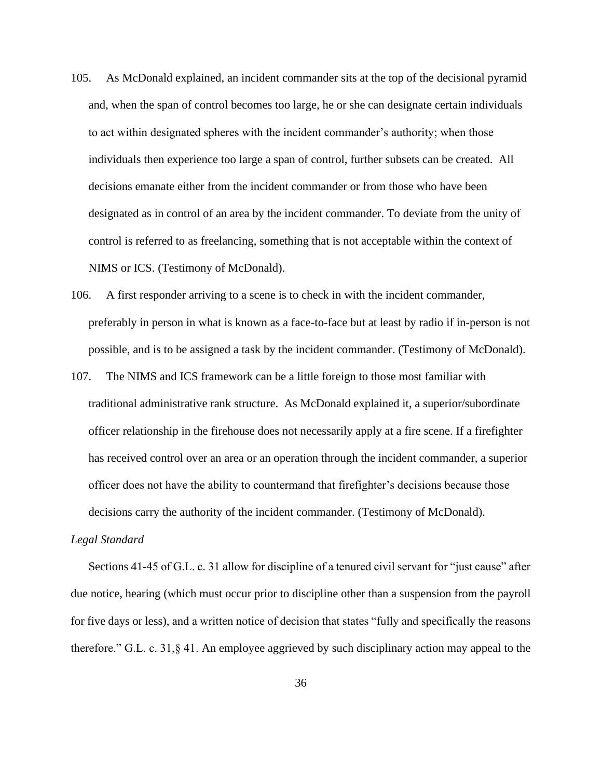- 105. As McDonald explained, an incident commander sits at the top of the decisional pyramid and, when the span of control becomes too large, he or she can designate certain individuals to act within designated spheres with the incident commander's authority; when those individuals then experience too large a span of control, further subsets can be created. All decisions emanate either from the incident commander or from those who have been designated as in control of an area by the incident commander. To deviate from the unity of control is referred to as freelancing, something that is not acceptable within the context of NIMS or ICS. (Testimony of McDonald).
- 106. A first responder arriving to a scene is to check in with the incident commander, preferably in person in what is known as a face-to-face but at least by radio if in-person is not possible, and is to be assigned a task by the incident commander. (Testimony of McDonald).
- 107. The NIMS and ICS framework can be a little foreign to those most familiar with traditional administrative rank structure. As McDonald explained it, a superior/subordinate officer relationship in the firehouse does not necessarily apply at a fire scene. If a firefighter has received control over an area or an operation through the incident commander, a superior officer does not have the ability to countermand that firefighter's decisions because those decisions carry the authority of the incident commander. (Testimony of McDonald).

#### *Legal Standard*

Sections 41-45 of G.L. c. 31 allow for discipline of a tenured civil servant for "just cause" after due notice, hearing (which must occur prior to discipline other than a suspension from the payroll for five days or less), and a written notice of decision that states "fully and specifically the reasons therefore." G.L. c. 31,§ 41. An employee aggrieved by such disciplinary action may appeal to the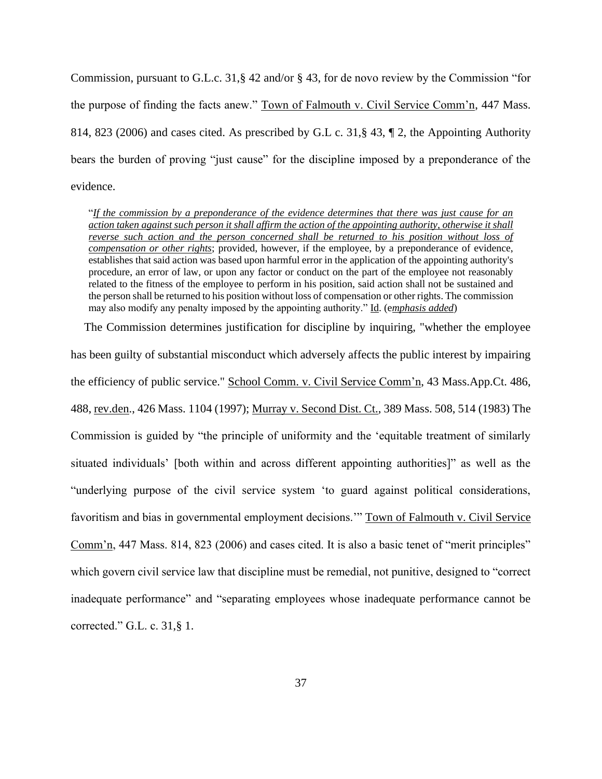Commission, pursuant to G.L.c. 31,§ 42 and/or § 43, for de novo review by the Commission "for the purpose of finding the facts anew." Town of Falmouth v. Civil Service Comm'n, 447 Mass. 814, 823 (2006) and cases cited. As prescribed by G.L c. 31,§ 43, ¶ 2, the Appointing Authority bears the burden of proving "just cause" for the discipline imposed by a preponderance of the evidence.

"*If the commission by a preponderance of the evidence determines that there was just cause for an action taken against such person it shall affirm the action of the appointing authority, otherwise it shall reverse such action and the person concerned shall be returned to his position without loss of compensation or other rights*; provided, however, if the employee, by a preponderance of evidence, establishes that said action was based upon harmful error in the application of the appointing authority's procedure, an error of law, or upon any factor or conduct on the part of the employee not reasonably related to the fitness of the employee to perform in his position, said action shall not be sustained and the person shall be returned to his position without loss of compensation or other rights. The commission may also modify any penalty imposed by the appointing authority." Id. (e*mphasis added*)

The Commission determines justification for discipline by inquiring, "whether the employee has been guilty of substantial misconduct which adversely affects the public interest by impairing the efficiency of public service." School Comm. v. Civil Service Comm'n, 43 Mass.App.Ct. 486, 488, rev.den., 426 Mass. 1104 (1997); Murray v. Second Dist. Ct., 389 Mass. 508, 514 (1983) The Commission is guided by "the principle of uniformity and the 'equitable treatment of similarly situated individuals' [both within and across different appointing authorities]" as well as the "underlying purpose of the civil service system 'to guard against political considerations, favoritism and bias in governmental employment decisions.'" Town of Falmouth v. Civil Service Comm'n, 447 Mass. 814, 823 (2006) and cases cited. It is also a basic tenet of "merit principles" which govern civil service law that discipline must be remedial, not punitive, designed to "correct inadequate performance" and "separating employees whose inadequate performance cannot be corrected." G.L. c. 31,§ 1.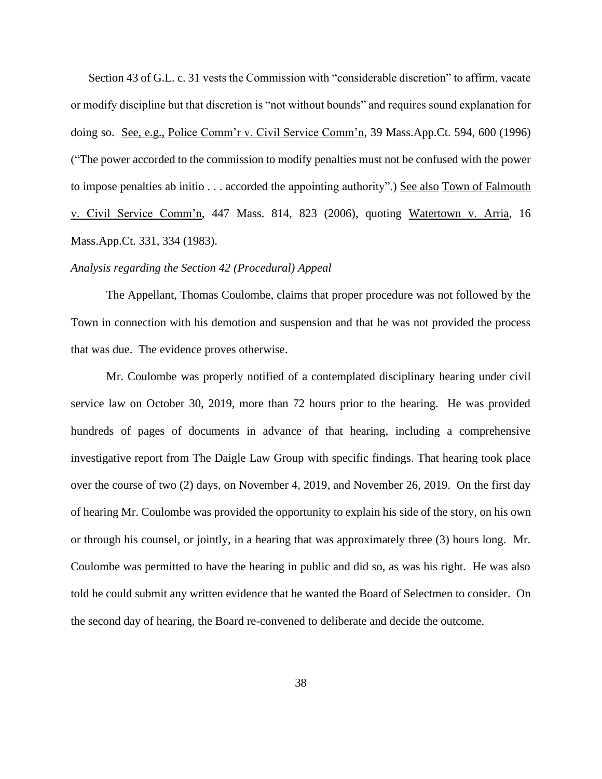Section 43 of G.L. c. 31 vests the Commission with "considerable discretion" to affirm, vacate or modify discipline but that discretion is "not without bounds" and requires sound explanation for doing so. See, e.g., Police Comm'r v. Civil Service Comm'n, 39 Mass.App.Ct. 594, 600 (1996) ("The power accorded to the commission to modify penalties must not be confused with the power to impose penalties ab initio . . . accorded the appointing authority".) See also Town of Falmouth v. Civil Service Comm'n, 447 Mass. 814, 823 (2006), quoting Watertown v. Arria, 16 Mass.App.Ct. 331, 334 (1983).

### *Analysis regarding the Section 42 (Procedural) Appeal*

The Appellant, Thomas Coulombe, claims that proper procedure was not followed by the Town in connection with his demotion and suspension and that he was not provided the process that was due. The evidence proves otherwise.

Mr. Coulombe was properly notified of a contemplated disciplinary hearing under civil service law on October 30, 2019, more than 72 hours prior to the hearing. He was provided hundreds of pages of documents in advance of that hearing, including a comprehensive investigative report from The Daigle Law Group with specific findings. That hearing took place over the course of two (2) days, on November 4, 2019, and November 26, 2019. On the first day of hearing Mr. Coulombe was provided the opportunity to explain his side of the story, on his own or through his counsel, or jointly, in a hearing that was approximately three (3) hours long. Mr. Coulombe was permitted to have the hearing in public and did so, as was his right. He was also told he could submit any written evidence that he wanted the Board of Selectmen to consider. On the second day of hearing, the Board re-convened to deliberate and decide the outcome.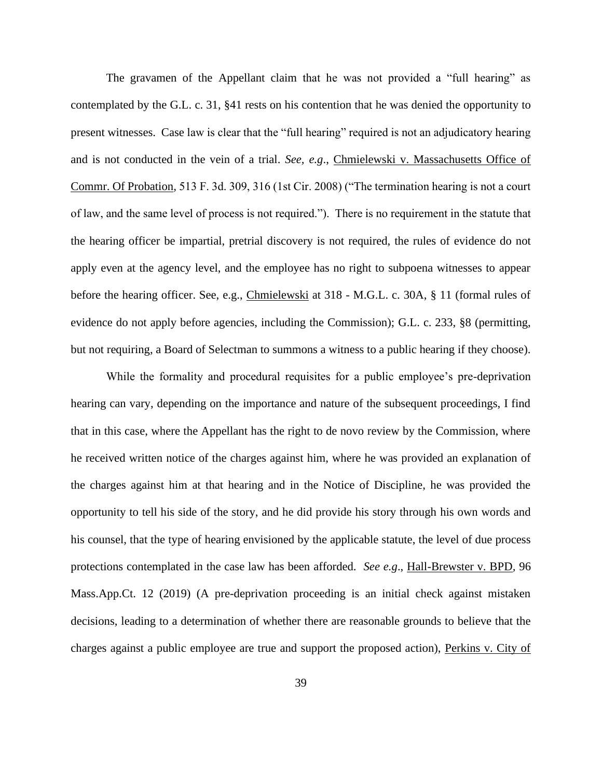The gravamen of the Appellant claim that he was not provided a "full hearing" as contemplated by the G.L. c. 31, §41 rests on his contention that he was denied the opportunity to present witnesses. Case law is clear that the "full hearing" required is not an adjudicatory hearing and is not conducted in the vein of a trial. *See, e.g*., Chmielewski v. Massachusetts Office of Commr. Of Probation*,* 513 F. 3d. 309, 316 (1st Cir. 2008) ("The termination hearing is not a court of law, and the same level of process is not required."). There is no requirement in the statute that the hearing officer be impartial, pretrial discovery is not required, the rules of evidence do not apply even at the agency level, and the employee has no right to subpoena witnesses to appear before the hearing officer. See, e.g., Chmielewski at 318 - M.G.L. c. 30A, § 11 (formal rules of evidence do not apply before agencies, including the Commission); G.L. c. 233, §8 (permitting, but not requiring, a Board of Selectman to summons a witness to a public hearing if they choose).

While the formality and procedural requisites for a public employee's pre-deprivation hearing can vary, depending on the importance and nature of the subsequent proceedings, I find that in this case, where the Appellant has the right to de novo review by the Commission, where he received written notice of the charges against him, where he was provided an explanation of the charges against him at that hearing and in the Notice of Discipline, he was provided the opportunity to tell his side of the story, and he did provide his story through his own words and his counsel, that the type of hearing envisioned by the applicable statute, the level of due process protections contemplated in the case law has been afforded. *See e.g*., Hall-Brewster v. BPD*,* 96 Mass.App.Ct. 12 (2019) (A pre-deprivation proceeding is an initial check against mistaken decisions, leading to a determination of whether there are reasonable grounds to believe that the charges against a public employee are true and support the proposed action), Perkins v. City of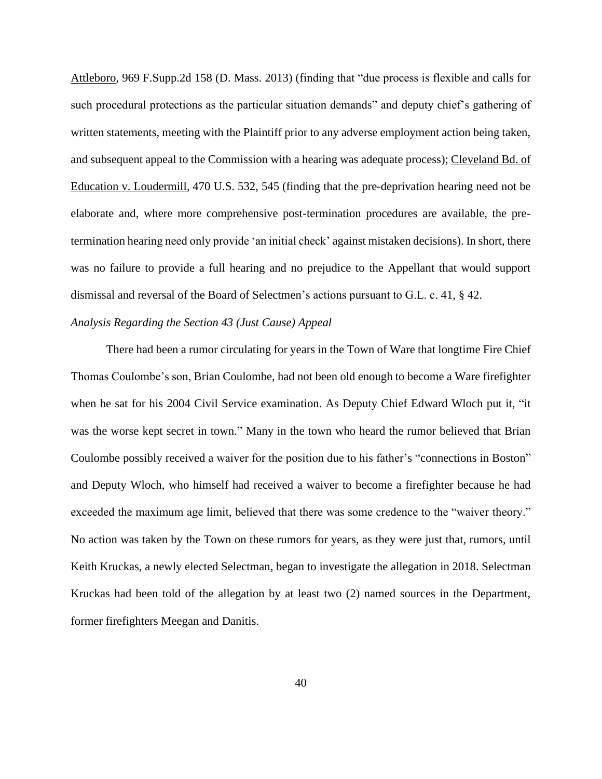Attleboro*,* 969 F.Supp.2d 158 (D. Mass. 2013) (finding that "due process is flexible and calls for such procedural protections as the particular situation demands" and deputy chief's gathering of written statements, meeting with the Plaintiff prior to any adverse employment action being taken, and subsequent appeal to the Commission with a hearing was adequate process); Cleveland Bd. of Education v. Loudermill*,* 470 U.S. 532, 545 (finding that the pre-deprivation hearing need not be elaborate and, where more comprehensive post-termination procedures are available, the pretermination hearing need only provide 'an initial check' against mistaken decisions). In short, there was no failure to provide a full hearing and no prejudice to the Appellant that would support dismissal and reversal of the Board of Selectmen's actions pursuant to G.L. c. 41, § 42.

#### *Analysis Regarding the Section 43 (Just Cause) Appeal*

There had been a rumor circulating for years in the Town of Ware that longtime Fire Chief Thomas Coulombe's son, Brian Coulombe, had not been old enough to become a Ware firefighter when he sat for his 2004 Civil Service examination. As Deputy Chief Edward Wloch put it, "it was the worse kept secret in town." Many in the town who heard the rumor believed that Brian Coulombe possibly received a waiver for the position due to his father's "connections in Boston" and Deputy Wloch, who himself had received a waiver to become a firefighter because he had exceeded the maximum age limit, believed that there was some credence to the "waiver theory." No action was taken by the Town on these rumors for years, as they were just that, rumors, until Keith Kruckas, a newly elected Selectman, began to investigate the allegation in 2018. Selectman Kruckas had been told of the allegation by at least two (2) named sources in the Department, former firefighters Meegan and Danitis.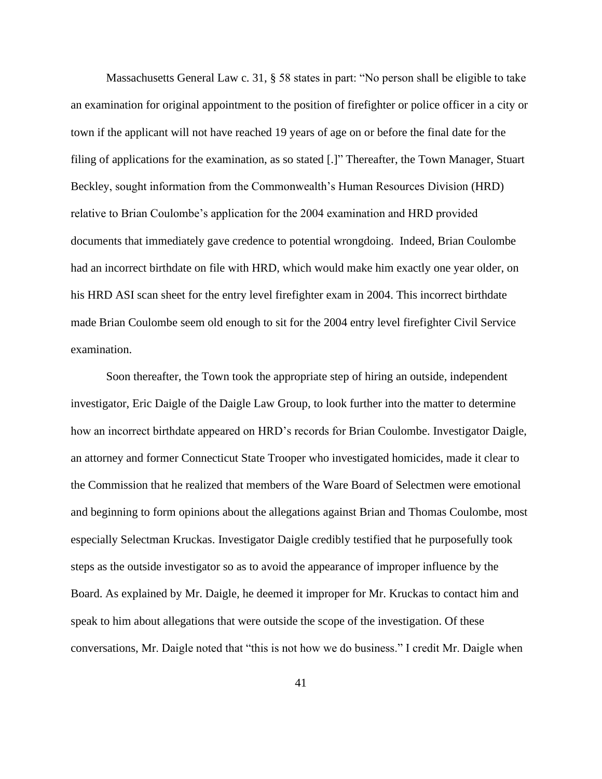Massachusetts General Law c. 31, § 58 states in part: "No person shall be eligible to take an examination for original appointment to the position of firefighter or police officer in a city or town if the applicant will not have reached 19 years of age on or before the final date for the filing of applications for the examination, as so stated [.]" Thereafter, the Town Manager, Stuart Beckley, sought information from the Commonwealth's Human Resources Division (HRD) relative to Brian Coulombe's application for the 2004 examination and HRD provided documents that immediately gave credence to potential wrongdoing. Indeed, Brian Coulombe had an incorrect birthdate on file with HRD, which would make him exactly one year older, on his HRD ASI scan sheet for the entry level firefighter exam in 2004. This incorrect birthdate made Brian Coulombe seem old enough to sit for the 2004 entry level firefighter Civil Service examination.

Soon thereafter, the Town took the appropriate step of hiring an outside, independent investigator, Eric Daigle of the Daigle Law Group, to look further into the matter to determine how an incorrect birthdate appeared on HRD's records for Brian Coulombe. Investigator Daigle, an attorney and former Connecticut State Trooper who investigated homicides, made it clear to the Commission that he realized that members of the Ware Board of Selectmen were emotional and beginning to form opinions about the allegations against Brian and Thomas Coulombe, most especially Selectman Kruckas. Investigator Daigle credibly testified that he purposefully took steps as the outside investigator so as to avoid the appearance of improper influence by the Board. As explained by Mr. Daigle, he deemed it improper for Mr. Kruckas to contact him and speak to him about allegations that were outside the scope of the investigation. Of these conversations, Mr. Daigle noted that "this is not how we do business." I credit Mr. Daigle when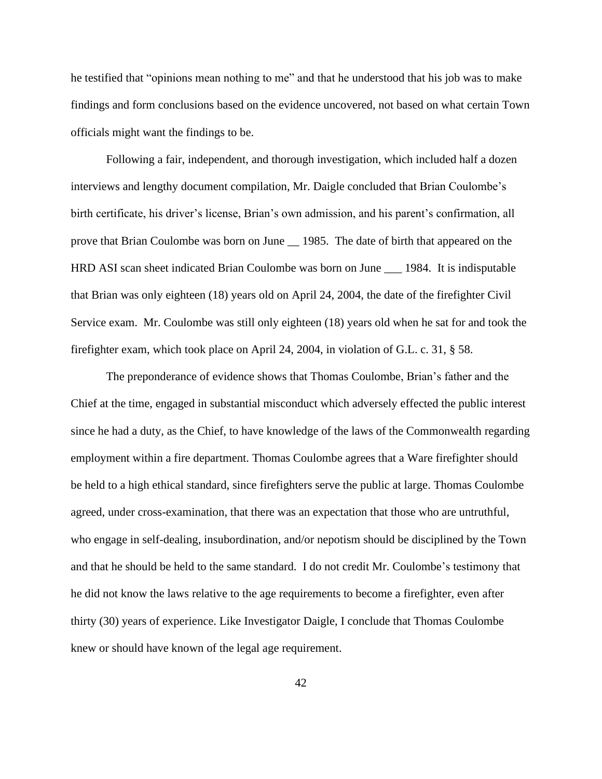he testified that "opinions mean nothing to me" and that he understood that his job was to make findings and form conclusions based on the evidence uncovered, not based on what certain Town officials might want the findings to be.

Following a fair, independent, and thorough investigation, which included half a dozen interviews and lengthy document compilation, Mr. Daigle concluded that Brian Coulombe's birth certificate, his driver's license, Brian's own admission, and his parent's confirmation, all prove that Brian Coulombe was born on June \_\_ 1985. The date of birth that appeared on the HRD ASI scan sheet indicated Brian Coulombe was born on June \_\_\_ 1984. It is indisputable that Brian was only eighteen (18) years old on April 24, 2004, the date of the firefighter Civil Service exam. Mr. Coulombe was still only eighteen (18) years old when he sat for and took the firefighter exam, which took place on April 24, 2004, in violation of G.L. c. 31, § 58.

The preponderance of evidence shows that Thomas Coulombe, Brian's father and the Chief at the time, engaged in substantial misconduct which adversely effected the public interest since he had a duty, as the Chief, to have knowledge of the laws of the Commonwealth regarding employment within a fire department. Thomas Coulombe agrees that a Ware firefighter should be held to a high ethical standard, since firefighters serve the public at large. Thomas Coulombe agreed, under cross-examination, that there was an expectation that those who are untruthful, who engage in self-dealing, insubordination, and/or nepotism should be disciplined by the Town and that he should be held to the same standard. I do not credit Mr. Coulombe's testimony that he did not know the laws relative to the age requirements to become a firefighter, even after thirty (30) years of experience. Like Investigator Daigle, I conclude that Thomas Coulombe knew or should have known of the legal age requirement.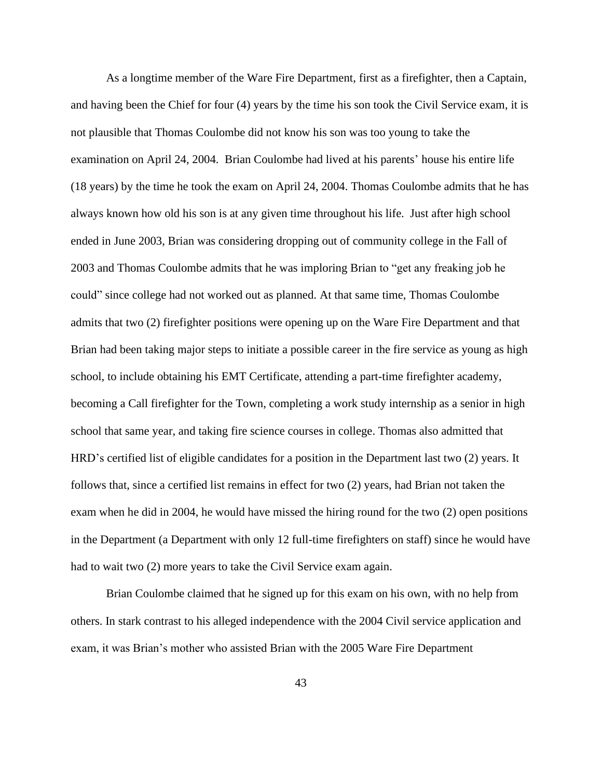As a longtime member of the Ware Fire Department, first as a firefighter, then a Captain, and having been the Chief for four (4) years by the time his son took the Civil Service exam, it is not plausible that Thomas Coulombe did not know his son was too young to take the examination on April 24, 2004. Brian Coulombe had lived at his parents' house his entire life (18 years) by the time he took the exam on April 24, 2004. Thomas Coulombe admits that he has always known how old his son is at any given time throughout his life. Just after high school ended in June 2003, Brian was considering dropping out of community college in the Fall of 2003 and Thomas Coulombe admits that he was imploring Brian to "get any freaking job he could" since college had not worked out as planned. At that same time, Thomas Coulombe admits that two (2) firefighter positions were opening up on the Ware Fire Department and that Brian had been taking major steps to initiate a possible career in the fire service as young as high school, to include obtaining his EMT Certificate, attending a part-time firefighter academy, becoming a Call firefighter for the Town, completing a work study internship as a senior in high school that same year, and taking fire science courses in college. Thomas also admitted that HRD's certified list of eligible candidates for a position in the Department last two (2) years. It follows that, since a certified list remains in effect for two (2) years, had Brian not taken the exam when he did in 2004, he would have missed the hiring round for the two (2) open positions in the Department (a Department with only 12 full-time firefighters on staff) since he would have had to wait two (2) more years to take the Civil Service exam again.

Brian Coulombe claimed that he signed up for this exam on his own, with no help from others. In stark contrast to his alleged independence with the 2004 Civil service application and exam, it was Brian's mother who assisted Brian with the 2005 Ware Fire Department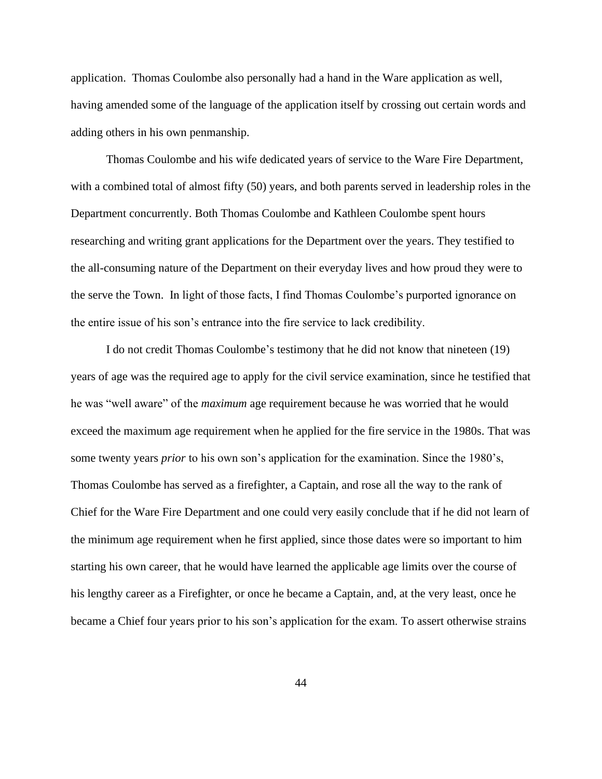application. Thomas Coulombe also personally had a hand in the Ware application as well, having amended some of the language of the application itself by crossing out certain words and adding others in his own penmanship.

Thomas Coulombe and his wife dedicated years of service to the Ware Fire Department, with a combined total of almost fifty (50) years, and both parents served in leadership roles in the Department concurrently. Both Thomas Coulombe and Kathleen Coulombe spent hours researching and writing grant applications for the Department over the years. They testified to the all-consuming nature of the Department on their everyday lives and how proud they were to the serve the Town. In light of those facts, I find Thomas Coulombe's purported ignorance on the entire issue of his son's entrance into the fire service to lack credibility.

I do not credit Thomas Coulombe's testimony that he did not know that nineteen (19) years of age was the required age to apply for the civil service examination, since he testified that he was "well aware" of the *maximum* age requirement because he was worried that he would exceed the maximum age requirement when he applied for the fire service in the 1980s. That was some twenty years *prior* to his own son's application for the examination. Since the 1980's, Thomas Coulombe has served as a firefighter, a Captain, and rose all the way to the rank of Chief for the Ware Fire Department and one could very easily conclude that if he did not learn of the minimum age requirement when he first applied, since those dates were so important to him starting his own career, that he would have learned the applicable age limits over the course of his lengthy career as a Firefighter, or once he became a Captain, and, at the very least, once he became a Chief four years prior to his son's application for the exam. To assert otherwise strains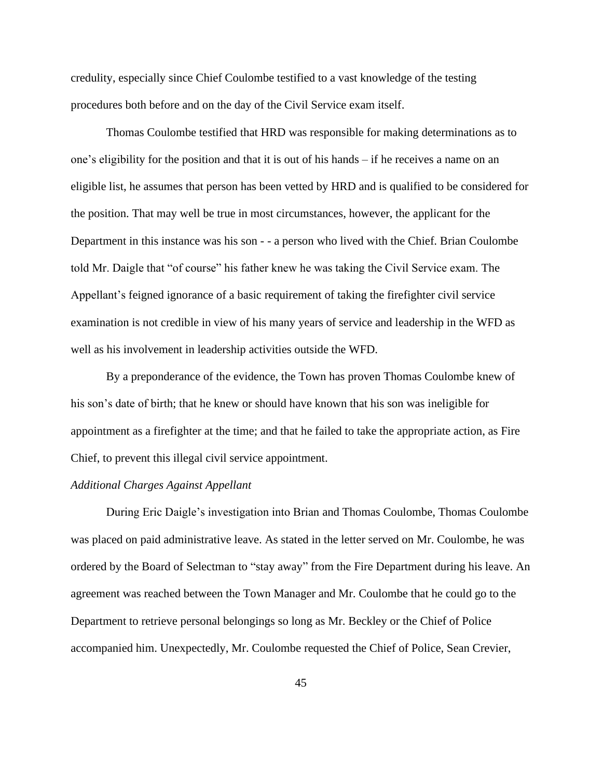credulity, especially since Chief Coulombe testified to a vast knowledge of the testing procedures both before and on the day of the Civil Service exam itself.

Thomas Coulombe testified that HRD was responsible for making determinations as to one's eligibility for the position and that it is out of his hands – if he receives a name on an eligible list, he assumes that person has been vetted by HRD and is qualified to be considered for the position. That may well be true in most circumstances, however, the applicant for the Department in this instance was his son - - a person who lived with the Chief. Brian Coulombe told Mr. Daigle that "of course" his father knew he was taking the Civil Service exam. The Appellant's feigned ignorance of a basic requirement of taking the firefighter civil service examination is not credible in view of his many years of service and leadership in the WFD as well as his involvement in leadership activities outside the WFD.

By a preponderance of the evidence, the Town has proven Thomas Coulombe knew of his son's date of birth; that he knew or should have known that his son was ineligible for appointment as a firefighter at the time; and that he failed to take the appropriate action, as Fire Chief, to prevent this illegal civil service appointment.

# *Additional Charges Against Appellant*

During Eric Daigle's investigation into Brian and Thomas Coulombe, Thomas Coulombe was placed on paid administrative leave. As stated in the letter served on Mr. Coulombe, he was ordered by the Board of Selectman to "stay away" from the Fire Department during his leave. An agreement was reached between the Town Manager and Mr. Coulombe that he could go to the Department to retrieve personal belongings so long as Mr. Beckley or the Chief of Police accompanied him. Unexpectedly, Mr. Coulombe requested the Chief of Police, Sean Crevier,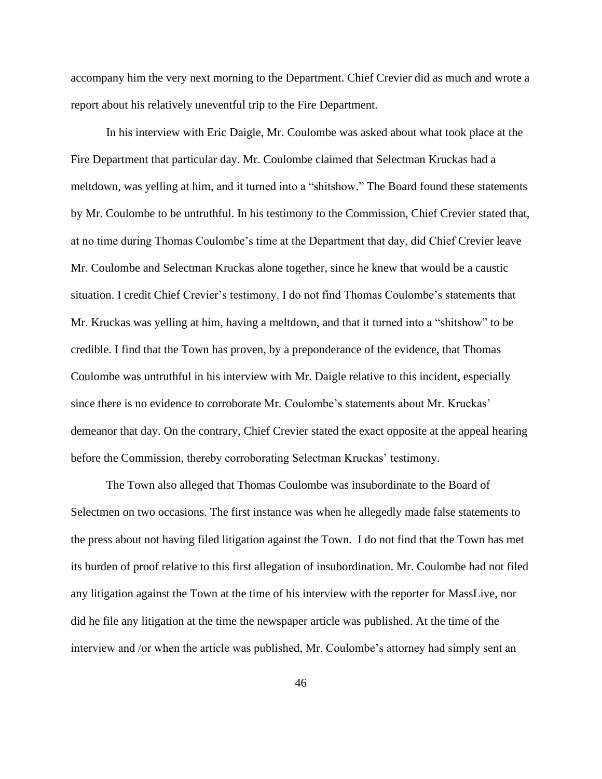accompany him the very next morning to the Department. Chief Crevier did as much and wrote a report about his relatively uneventful trip to the Fire Department.

In his interview with Eric Daigle, Mr. Coulombe was asked about what took place at the Fire Department that particular day. Mr. Coulombe claimed that Selectman Kruckas had a meltdown, was yelling at him, and it turned into a "shitshow." The Board found these statements by Mr. Coulombe to be untruthful. In his testimony to the Commission, Chief Crevier stated that, at no time during Thomas Coulombe's time at the Department that day, did Chief Crevier leave Mr. Coulombe and Selectman Kruckas alone together, since he knew that would be a caustic situation. I credit Chief Crevier's testimony. I do not find Thomas Coulombe's statements that Mr. Kruckas was yelling at him, having a meltdown, and that it turned into a "shitshow" to be credible. I find that the Town has proven, by a preponderance of the evidence, that Thomas Coulombe was untruthful in his interview with Mr. Daigle relative to this incident, especially since there is no evidence to corroborate Mr. Coulombe's statements about Mr. Kruckas' demeanor that day. On the contrary, Chief Crevier stated the exact opposite at the appeal hearing before the Commission, thereby corroborating Selectman Kruckas' testimony.

The Town also alleged that Thomas Coulombe was insubordinate to the Board of Selectmen on two occasions. The first instance was when he allegedly made false statements to the press about not having filed litigation against the Town. I do not find that the Town has met its burden of proof relative to this first allegation of insubordination. Mr. Coulombe had not filed any litigation against the Town at the time of his interview with the reporter for MassLive, nor did he file any litigation at the time the newspaper article was published. At the time of the interview and /or when the article was published, Mr. Coulombe's attorney had simply sent an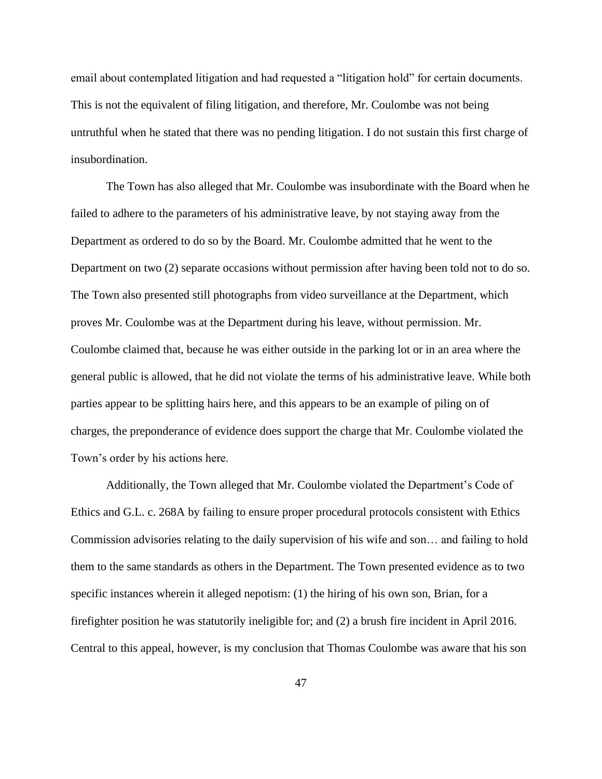email about contemplated litigation and had requested a "litigation hold" for certain documents. This is not the equivalent of filing litigation, and therefore, Mr. Coulombe was not being untruthful when he stated that there was no pending litigation. I do not sustain this first charge of insubordination.

The Town has also alleged that Mr. Coulombe was insubordinate with the Board when he failed to adhere to the parameters of his administrative leave, by not staying away from the Department as ordered to do so by the Board. Mr. Coulombe admitted that he went to the Department on two (2) separate occasions without permission after having been told not to do so. The Town also presented still photographs from video surveillance at the Department, which proves Mr. Coulombe was at the Department during his leave, without permission. Mr. Coulombe claimed that, because he was either outside in the parking lot or in an area where the general public is allowed, that he did not violate the terms of his administrative leave. While both parties appear to be splitting hairs here, and this appears to be an example of piling on of charges, the preponderance of evidence does support the charge that Mr. Coulombe violated the Town's order by his actions here.

Additionally, the Town alleged that Mr. Coulombe violated the Department's Code of Ethics and G.L. c. 268A by failing to ensure proper procedural protocols consistent with Ethics Commission advisories relating to the daily supervision of his wife and son… and failing to hold them to the same standards as others in the Department. The Town presented evidence as to two specific instances wherein it alleged nepotism: (1) the hiring of his own son, Brian, for a firefighter position he was statutorily ineligible for; and (2) a brush fire incident in April 2016. Central to this appeal, however, is my conclusion that Thomas Coulombe was aware that his son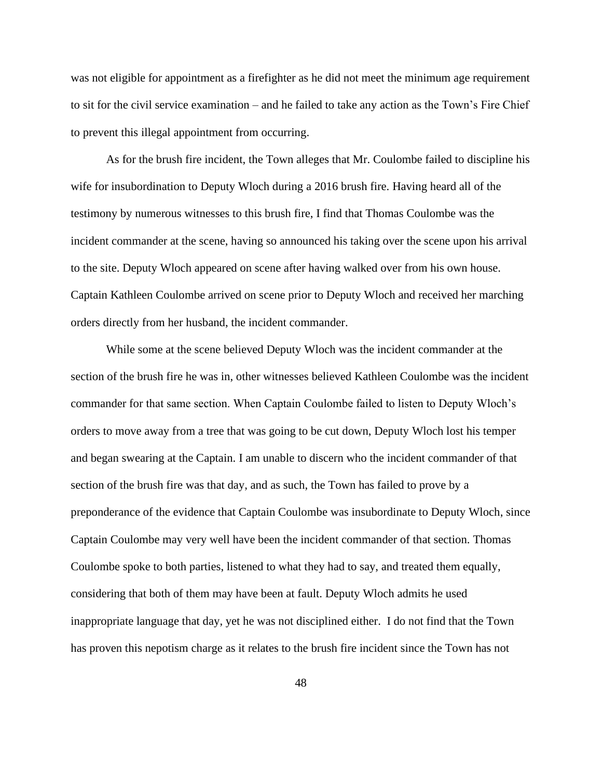was not eligible for appointment as a firefighter as he did not meet the minimum age requirement to sit for the civil service examination – and he failed to take any action as the Town's Fire Chief to prevent this illegal appointment from occurring.

As for the brush fire incident, the Town alleges that Mr. Coulombe failed to discipline his wife for insubordination to Deputy Wloch during a 2016 brush fire. Having heard all of the testimony by numerous witnesses to this brush fire, I find that Thomas Coulombe was the incident commander at the scene, having so announced his taking over the scene upon his arrival to the site. Deputy Wloch appeared on scene after having walked over from his own house. Captain Kathleen Coulombe arrived on scene prior to Deputy Wloch and received her marching orders directly from her husband, the incident commander.

While some at the scene believed Deputy Wloch was the incident commander at the section of the brush fire he was in, other witnesses believed Kathleen Coulombe was the incident commander for that same section. When Captain Coulombe failed to listen to Deputy Wloch's orders to move away from a tree that was going to be cut down, Deputy Wloch lost his temper and began swearing at the Captain. I am unable to discern who the incident commander of that section of the brush fire was that day, and as such, the Town has failed to prove by a preponderance of the evidence that Captain Coulombe was insubordinate to Deputy Wloch, since Captain Coulombe may very well have been the incident commander of that section. Thomas Coulombe spoke to both parties, listened to what they had to say, and treated them equally, considering that both of them may have been at fault. Deputy Wloch admits he used inappropriate language that day, yet he was not disciplined either. I do not find that the Town has proven this nepotism charge as it relates to the brush fire incident since the Town has not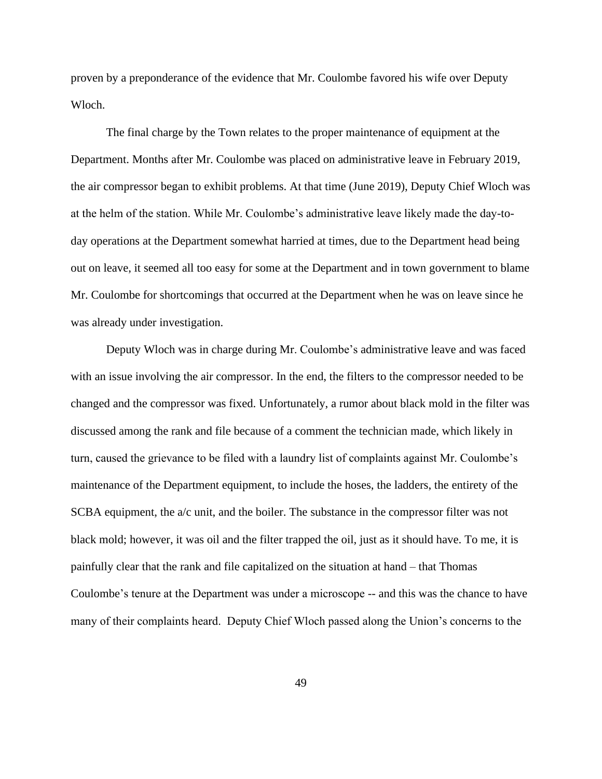proven by a preponderance of the evidence that Mr. Coulombe favored his wife over Deputy Wloch.

The final charge by the Town relates to the proper maintenance of equipment at the Department. Months after Mr. Coulombe was placed on administrative leave in February 2019, the air compressor began to exhibit problems. At that time (June 2019), Deputy Chief Wloch was at the helm of the station. While Mr. Coulombe's administrative leave likely made the day-today operations at the Department somewhat harried at times, due to the Department head being out on leave, it seemed all too easy for some at the Department and in town government to blame Mr. Coulombe for shortcomings that occurred at the Department when he was on leave since he was already under investigation.

Deputy Wloch was in charge during Mr. Coulombe's administrative leave and was faced with an issue involving the air compressor. In the end, the filters to the compressor needed to be changed and the compressor was fixed. Unfortunately, a rumor about black mold in the filter was discussed among the rank and file because of a comment the technician made, which likely in turn, caused the grievance to be filed with a laundry list of complaints against Mr. Coulombe's maintenance of the Department equipment, to include the hoses, the ladders, the entirety of the SCBA equipment, the a/c unit, and the boiler. The substance in the compressor filter was not black mold; however, it was oil and the filter trapped the oil, just as it should have. To me, it is painfully clear that the rank and file capitalized on the situation at hand – that Thomas Coulombe's tenure at the Department was under a microscope -- and this was the chance to have many of their complaints heard. Deputy Chief Wloch passed along the Union's concerns to the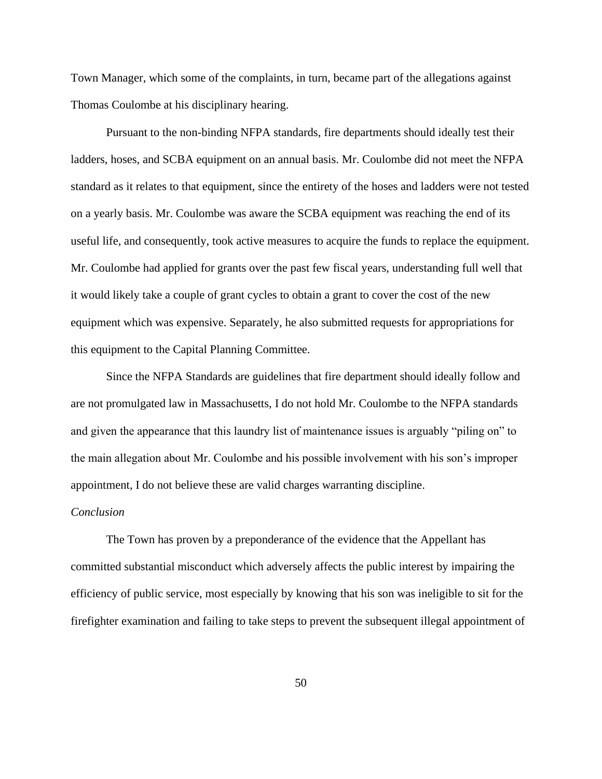Town Manager, which some of the complaints, in turn, became part of the allegations against Thomas Coulombe at his disciplinary hearing.

Pursuant to the non-binding NFPA standards, fire departments should ideally test their ladders, hoses, and SCBA equipment on an annual basis. Mr. Coulombe did not meet the NFPA standard as it relates to that equipment, since the entirety of the hoses and ladders were not tested on a yearly basis. Mr. Coulombe was aware the SCBA equipment was reaching the end of its useful life, and consequently, took active measures to acquire the funds to replace the equipment. Mr. Coulombe had applied for grants over the past few fiscal years, understanding full well that it would likely take a couple of grant cycles to obtain a grant to cover the cost of the new equipment which was expensive. Separately, he also submitted requests for appropriations for this equipment to the Capital Planning Committee.

Since the NFPA Standards are guidelines that fire department should ideally follow and are not promulgated law in Massachusetts, I do not hold Mr. Coulombe to the NFPA standards and given the appearance that this laundry list of maintenance issues is arguably "piling on" to the main allegation about Mr. Coulombe and his possible involvement with his son's improper appointment, I do not believe these are valid charges warranting discipline.

### *Conclusion*

The Town has proven by a preponderance of the evidence that the Appellant has committed substantial misconduct which adversely affects the public interest by impairing the efficiency of public service, most especially by knowing that his son was ineligible to sit for the firefighter examination and failing to take steps to prevent the subsequent illegal appointment of